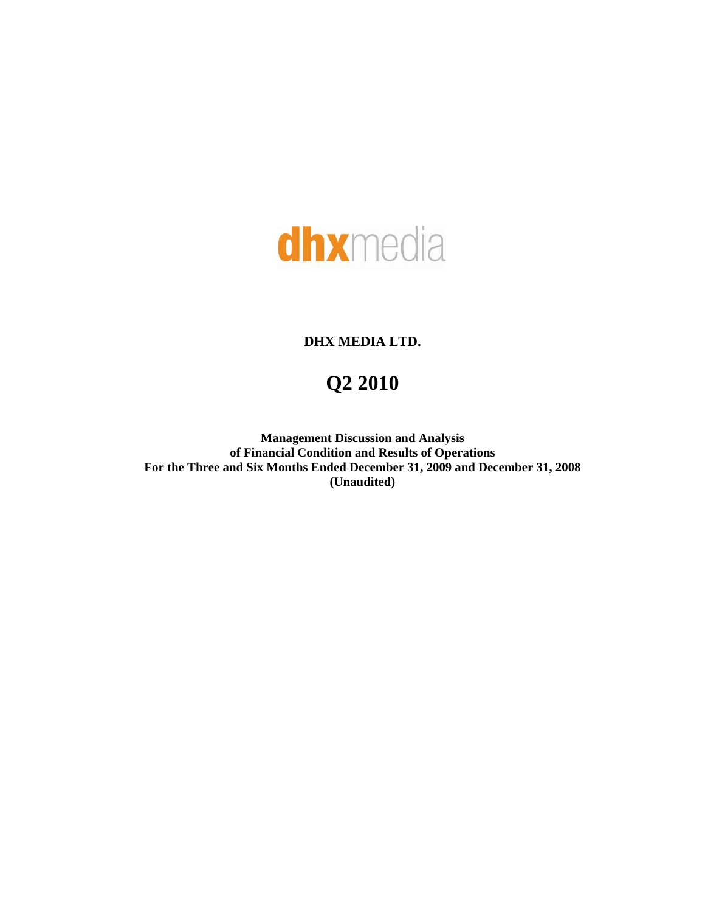

# **DHX MEDIA LTD.**

# **Q2 2010**

**Management Discussion and Analysis of Financial Condition and Results of Operations For the Three and Six Months Ended December 31, 2009 and December 31, 2008 (Unaudited)**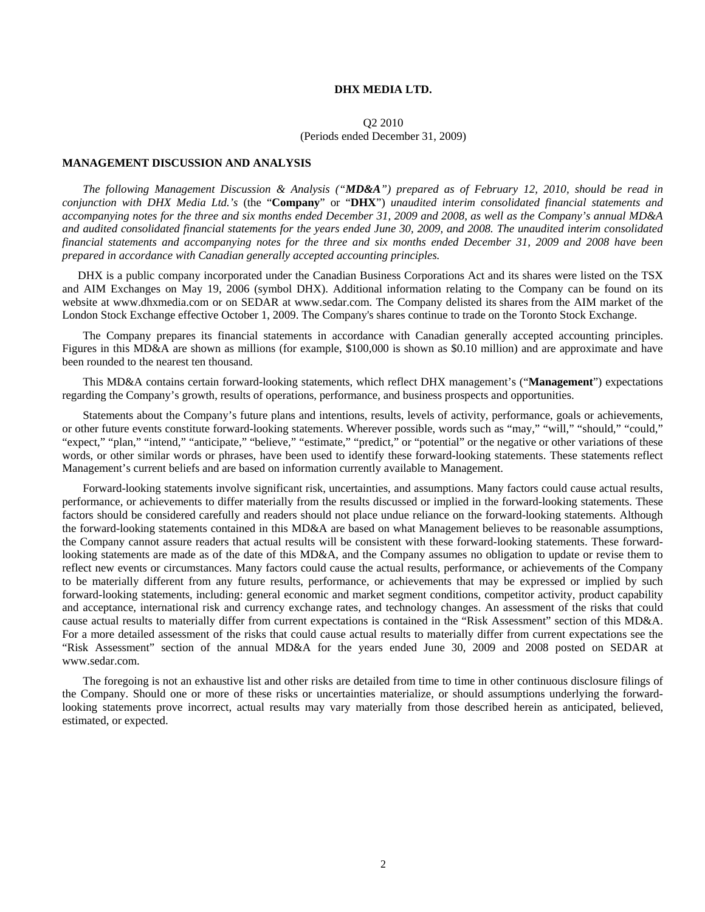## **DHX MEDIA LTD.**

## Q2 2010 (Periods ended December 31, 2009)

## **MANAGEMENT DISCUSSION AND ANALYSIS**

*The following Management Discussion & Analysis ("MD&A") prepared as of February 12, 2010, should be read in conjunction with DHX Media Ltd.'s* (the "**Company**" or "**DHX**") *unaudited interim consolidated financial statements and accompanying notes for the three and six months ended December 31, 2009 and 2008, as well as the Company's annual MD&A and audited consolidated financial statements for the years ended June 30, 2009, and 2008. The unaudited interim consolidated financial statements and accompanying notes for the three and six months ended December 31, 2009 and 2008 have been prepared in accordance with Canadian generally accepted accounting principles.* 

DHX is a public company incorporated under the Canadian Business Corporations Act and its shares were listed on the TSX and AIM Exchanges on May 19, 2006 (symbol DHX). Additional information relating to the Company can be found on its website at [www.dhxmedia.com](http://www.dhxmedia.com/) or on SEDAR at [www.sedar.com.](http://www.sedar.com/) The Company delisted its shares from the AIM market of the London Stock Exchange effective October 1, 2009. The Company's shares continue to trade on the Toronto Stock Exchange.

The Company prepares its financial statements in accordance with Canadian generally accepted accounting principles. Figures in this MD&A are shown as millions (for example, \$100,000 is shown as \$0.10 million) and are approximate and have been rounded to the nearest ten thousand.

This MD&A contains certain forward-looking statements, which reflect DHX management's ("**Management**") expectations regarding the Company's growth, results of operations, performance, and business prospects and opportunities.

Statements about the Company's future plans and intentions, results, levels of activity, performance, goals or achievements, or other future events constitute forward-looking statements. Wherever possible, words such as "may," "will," "should," "could," "expect," "plan," "intend," "anticipate," "believe," "estimate," "predict," or "potential" or the negative or other variations of these words, or other similar words or phrases, have been used to identify these forward-looking statements. These statements reflect Management's current beliefs and are based on information currently available to Management.

Forward-looking statements involve significant risk, uncertainties, and assumptions. Many factors could cause actual results, performance, or achievements to differ materially from the results discussed or implied in the forward-looking statements. These factors should be considered carefully and readers should not place undue reliance on the forward-looking statements. Although the forward-looking statements contained in this MD&A are based on what Management believes to be reasonable assumptions, the Company cannot assure readers that actual results will be consistent with these forward-looking statements. These forwardlooking statements are made as of the date of this MD&A, and the Company assumes no obligation to update or revise them to reflect new events or circumstances. Many factors could cause the actual results, performance, or achievements of the Company to be materially different from any future results, performance, or achievements that may be expressed or implied by such forward-looking statements, including: general economic and market segment conditions, competitor activity, product capability and acceptance, international risk and currency exchange rates, and technology changes. An assessment of the risks that could cause actual results to materially differ from current expectations is contained in the "Risk Assessment" section of this MD&A. For a more detailed assessment of the risks that could cause actual results to materially differ from current expectations see the "Risk Assessment" section of the annual MD&A for the years ended June 30, 2009 and 2008 posted on SEDAR at www.sedar.com.

The foregoing is not an exhaustive list and other risks are detailed from time to time in other continuous disclosure filings of the Company. Should one or more of these risks or uncertainties materialize, or should assumptions underlying the forwardlooking statements prove incorrect, actual results may vary materially from those described herein as anticipated, believed, estimated, or expected.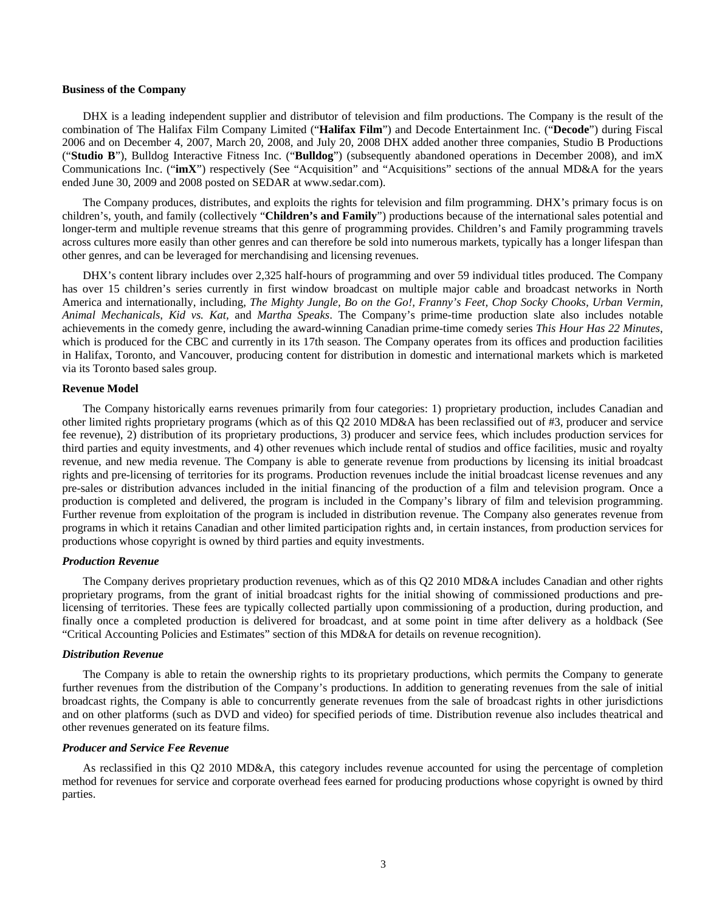#### **Business of the Company**

DHX is a leading independent supplier and distributor of television and film productions. The Company is the result of the combination of The Halifax Film Company Limited ("**Halifax Film**") and Decode Entertainment Inc. ("**Decode**") during Fiscal 2006 and on December 4, 2007, March 20, 2008, and July 20, 2008 DHX added another three companies, Studio B Productions ("**Studio B**"), Bulldog Interactive Fitness Inc. ("**Bulldog**") (subsequently abandoned operations in December 2008), and imX Communications Inc. ("**imX**") respectively (See "Acquisition" and "Acquisitions" sections of the annual MD&A for the years ended June 30, 2009 and 2008 posted on SEDAR at www.sedar.com).

The Company produces, distributes, and exploits the rights for television and film programming. DHX's primary focus is on children's, youth, and family (collectively "**Children's and Family**") productions because of the international sales potential and longer-term and multiple revenue streams that this genre of programming provides. Children's and Family programming travels across cultures more easily than other genres and can therefore be sold into numerous markets, typically has a longer lifespan than other genres, and can be leveraged for merchandising and licensing revenues.

DHX's content library includes over 2,325 half-hours of programming and over 59 individual titles produced. The Company has over 15 children's series currently in first window broadcast on multiple major cable and broadcast networks in North America and internationally, including, *The Mighty Jungle, Bo on the Go!, Franny's Feet, Chop Socky Chooks, Urban Vermin, Animal Mechanicals, Kid vs. Kat,* and *Martha Speaks*. The Company's prime-time production slate also includes notable achievements in the comedy genre, including the award-winning Canadian prime-time comedy series *This Hour Has 22 Minutes*, which is produced for the CBC and currently in its 17th season. The Company operates from its offices and production facilities in Halifax, Toronto, and Vancouver, producing content for distribution in domestic and international markets which is marketed via its Toronto based sales group.

#### **Revenue Model**

The Company historically earns revenues primarily from four categories: 1) proprietary production, includes Canadian and other limited rights proprietary programs (which as of this Q2 2010 MD&A has been reclassified out of #3, producer and service fee revenue), 2) distribution of its proprietary productions, 3) producer and service fees, which includes production services for third parties and equity investments, and 4) other revenues which include rental of studios and office facilities, music and royalty revenue, and new media revenue. The Company is able to generate revenue from productions by licensing its initial broadcast rights and pre-licensing of territories for its programs. Production revenues include the initial broadcast license revenues and any pre-sales or distribution advances included in the initial financing of the production of a film and television program. Once a production is completed and delivered, the program is included in the Company's library of film and television programming. Further revenue from exploitation of the program is included in distribution revenue. The Company also generates revenue from programs in which it retains Canadian and other limited participation rights and, in certain instances, from production services for productions whose copyright is owned by third parties and equity investments.

#### *Production Revenue*

The Company derives proprietary production revenues, which as of this Q2 2010 MD&A includes Canadian and other rights proprietary programs, from the grant of initial broadcast rights for the initial showing of commissioned productions and prelicensing of territories. These fees are typically collected partially upon commissioning of a production, during production, and finally once a completed production is delivered for broadcast, and at some point in time after delivery as a holdback (See "Critical Accounting Policies and Estimates" section of this MD&A for details on revenue recognition).

#### *Distribution Revenue*

The Company is able to retain the ownership rights to its proprietary productions, which permits the Company to generate further revenues from the distribution of the Company's productions. In addition to generating revenues from the sale of initial broadcast rights, the Company is able to concurrently generate revenues from the sale of broadcast rights in other jurisdictions and on other platforms (such as DVD and video) for specified periods of time. Distribution revenue also includes theatrical and other revenues generated on its feature films.

## *Producer and Service Fee Revenue*

As reclassified in this Q2 2010 MD&A, this category includes revenue accounted for using the percentage of completion method for revenues for service and corporate overhead fees earned for producing productions whose copyright is owned by third parties.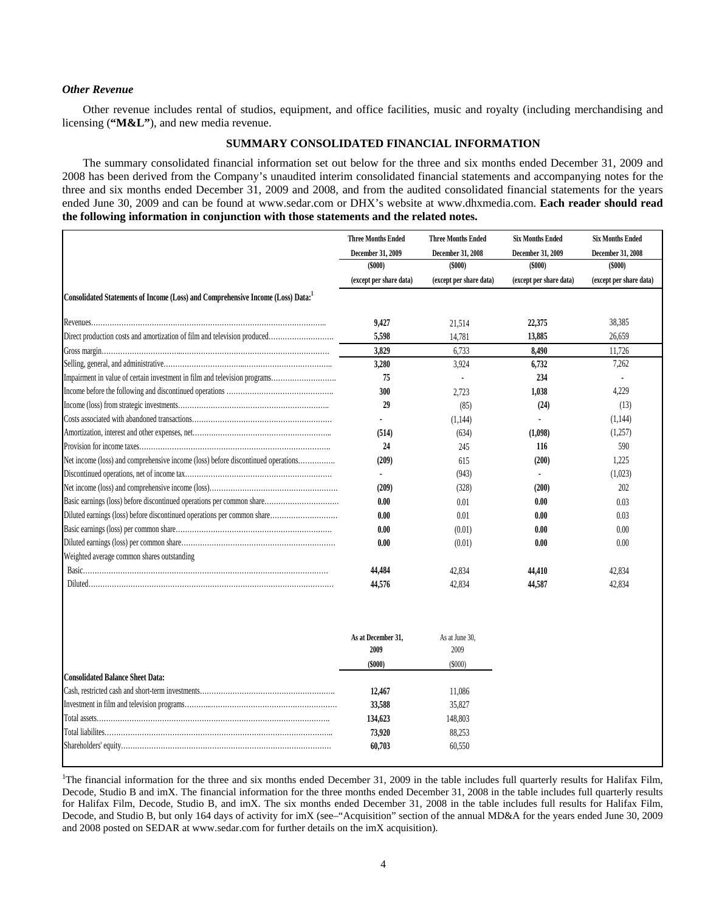## *Other Revenue*

Other revenue includes rental of studios, equipment, and office facilities, music and royalty (including merchandising and licensing (**"M&L"**), and new media revenue.

## **SUMMARY CONSOLIDATED FINANCIAL INFORMATION**

The summary consolidated financial information set out below for the three and six months ended December 31, 2009 and 2008 has been derived from the Company's unaudited interim consolidated financial statements and accompanying notes for the three and six months ended December 31, 2009 and 2008, and from the audited consolidated financial statements for the years ended June 30, 2009 and can be found at www.sedar.com [or DHX's website at www.dhxmedia.com](http://www.dhxmedia.com/). Each reader should read **[the following information in conjunction with those statements and the related notes.](http://www.dhxmedia.com/)** 

|                                                                                  | <b>Three Months Ended</b> | <b>Three Months Ended</b> | <b>Six Months Ended</b> | <b>Six Months Ended</b> |
|----------------------------------------------------------------------------------|---------------------------|---------------------------|-------------------------|-------------------------|
|                                                                                  | December 31, 2009         | December 31, 2008         | December 31, 2009       | December 31, 2008       |
|                                                                                  | $($ \$000 $)$             | $($ \$000 $)$             | $($ \$000 $)$           | $($ \$000 $)$           |
|                                                                                  | (except per share data)   | (except per share data)   | (except per share data) | (except per share data) |
| Consolidated Statements of Income (Loss) and Comprehensive Income (Loss) Data:   |                           |                           |                         |                         |
|                                                                                  | 9,427                     | 21,514                    | 22,375                  | 38,385                  |
| Direct production costs and amortization of film and television produced         | 5,598                     | 14,781                    | 13,885                  | 26,659                  |
|                                                                                  | 3.829                     | 6,733                     | 8,490                   | 11,726                  |
|                                                                                  | 3,280                     | 3,924                     | 6,732                   | 7.262                   |
| Impairment in value of certain investment in film and television programs        | 75                        |                           | 234                     |                         |
|                                                                                  | 300                       | 2.723                     | 1.038                   | 4.229                   |
|                                                                                  | 29                        | (85)                      | (24)                    | (13)                    |
|                                                                                  |                           | (1,144)                   |                         | (1,144)                 |
|                                                                                  | (514)                     | (634)                     | (1,098)                 | (1,257)                 |
|                                                                                  | 24                        | 245                       | 116                     | 590                     |
| Net income (loss) and comprehensive income (loss) before discontinued operations | (209)                     | 615                       | (200)                   | 1,225                   |
|                                                                                  | $\blacksquare$            | (943)                     | $\mathbf{r}$            | (1,023)                 |
|                                                                                  | (209)                     | (328)                     | (200)                   | 202                     |
| Basic earnings (loss) before discontinued operations per common share            | 0.00                      | 0.01                      | 0.00                    | 0.03                    |
| Diluted earnings (loss) before discontinued operations per common share          | 0.00                      | 0.01                      | 0.00                    | 0.03                    |
|                                                                                  | 0.00                      | (0.01)                    | 0.00                    | 0.00                    |
|                                                                                  | 0.00                      | (0.01)                    | 0.00                    | 0.00                    |
| Weighted average common shares outstanding                                       |                           |                           |                         |                         |
|                                                                                  | 44,484                    | 42,834                    | 44,410                  | 42,834                  |
|                                                                                  | 44,576                    | 42.834                    | 44,587                  | 42.834                  |
|                                                                                  | As at December 31,        | As at June 30,            |                         |                         |
|                                                                                  | 2009                      | 2009                      |                         |                         |
|                                                                                  | $($ \$000 $)$             | (S000)                    |                         |                         |
| <b>Consolidated Balance Sheet Data:</b>                                          |                           |                           |                         |                         |
|                                                                                  | 12,467                    | 11,086                    |                         |                         |
|                                                                                  | 33,588                    | 35,827                    |                         |                         |
|                                                                                  | 134,623                   | 148,803                   |                         |                         |
|                                                                                  | 73,920                    | 88,253                    |                         |                         |
|                                                                                  | 60,703                    | 60,550                    |                         |                         |

<sup>1</sup>The financial information for the three and six months ended December 31, 2009 in the table includes full quarterly results for Halifax Film, Decode, Studio B and imX. The financial information for the three months ended December 31, 2008 in the table includes full quarterly results for Halifax Film, Decode, Studio B, and imX. The six months ended December 31, 2008 in the table includes full results for Halifax Film, Decode, and Studio B, but only 164 days of activity for imX (see–"Acquisition" section of the annual MD&A for the years ended June 30, 2009 and 2008 posted on SEDAR at [www.sedar.com](http://www.sedar.com/) for further details on the imX acquisition).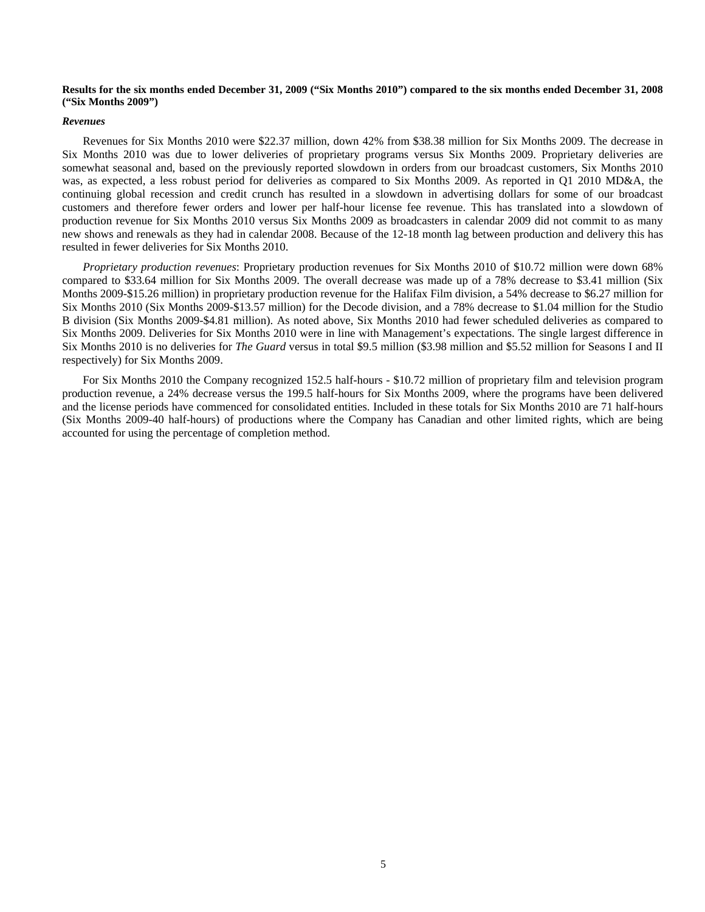## **Results for the six months ended December 31, 2009 ("Six Months 2010") compared to the six months ended December 31, 2008 ("Six Months 2009")**

#### *Revenues*

Revenues for Six Months 2010 were \$22.37 million, down 42% from \$38.38 million for Six Months 2009. The decrease in Six Months 2010 was due to lower deliveries of proprietary programs versus Six Months 2009. Proprietary deliveries are somewhat seasonal and, based on the previously reported slowdown in orders from our broadcast customers, Six Months 2010 was, as expected, a less robust period for deliveries as compared to Six Months 2009. As reported in Q1 2010 MD&A, the continuing global recession and credit crunch has resulted in a slowdown in advertising dollars for some of our broadcast customers and therefore fewer orders and lower per half-hour license fee revenue. This has translated into a slowdown of production revenue for Six Months 2010 versus Six Months 2009 as broadcasters in calendar 2009 did not commit to as many new shows and renewals as they had in calendar 2008. Because of the 12-18 month lag between production and delivery this has resulted in fewer deliveries for Six Months 2010.

*Proprietary production revenues*: Proprietary production revenues for Six Months 2010 of \$10.72 million were down 68% compared to \$33.64 million for Six Months 2009. The overall decrease was made up of a 78% decrease to \$3.41 million (Six Months 2009-\$15.26 million) in proprietary production revenue for the Halifax Film division, a 54% decrease to \$6.27 million for Six Months 2010 (Six Months 2009-\$13.57 million) for the Decode division, and a 78% decrease to \$1.04 million for the Studio B division (Six Months 2009-\$4.81 million). As noted above, Six Months 2010 had fewer scheduled deliveries as compared to Six Months 2009. Deliveries for Six Months 2010 were in line with Management's expectations. The single largest difference in Six Months 2010 is no deliveries for *The Guard* versus in total \$9.5 million (\$3.98 million and \$5.52 million for Seasons I and II respectively) for Six Months 2009.

For Six Months 2010 the Company recognized 152.5 half-hours - \$10.72 million of proprietary film and television program production revenue, a 24% decrease versus the 199.5 half-hours for Six Months 2009, where the programs have been delivered and the license periods have commenced for consolidated entities. Included in these totals for Six Months 2010 are 71 half-hours (Six Months 2009-40 half-hours) of productions where the Company has Canadian and other limited rights, which are being accounted for using the percentage of completion method.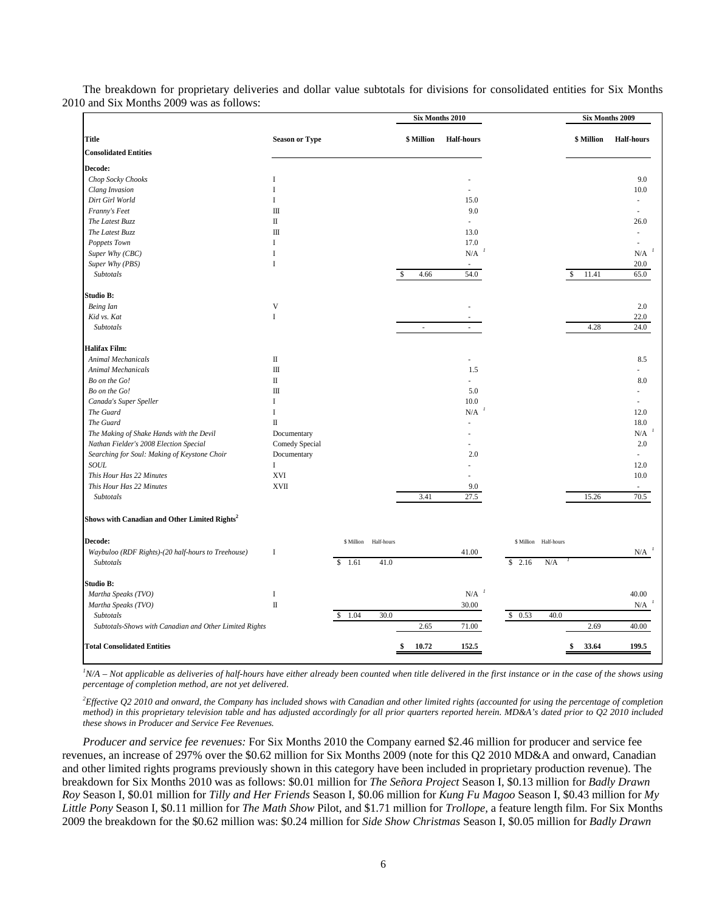|                                                           |                                  |            |            | Six Months 2010 |                   |                          |              | Six Months 2009   |
|-----------------------------------------------------------|----------------------------------|------------|------------|-----------------|-------------------|--------------------------|--------------|-------------------|
| Title                                                     | <b>Season or Type</b>            |            |            | \$ Million      | <b>Half-hours</b> |                          | \$ Million   | <b>Half-hours</b> |
| <b>Consolidated Entities</b>                              |                                  |            |            |                 |                   |                          |              |                   |
| Decode:                                                   |                                  |            |            |                 |                   |                          |              |                   |
| Chop Socky Chooks                                         | I                                |            |            |                 |                   |                          |              | 9.0               |
| Clang Invasion                                            | I                                |            |            |                 |                   |                          |              | 10.0              |
| Dirt Girl World                                           | $\mathbf I$                      |            |            |                 | 15.0              |                          |              |                   |
| Franny's Feet                                             | Ш                                |            |            |                 | 9.0               |                          |              |                   |
| The Latest Buzz                                           | $\rm II$                         |            |            |                 | ÷,                |                          |              | 26.0              |
| The Latest Buzz                                           | $\mathop{\mathrm{III}}\nolimits$ |            |            |                 | 13.0              |                          |              |                   |
| Poppets Town                                              | $\mathbf{I}$                     |            |            |                 | 17.0              |                          |              |                   |
| Super Why (CBC)                                           | I                                |            |            |                 | $\rm N/A$         |                          |              | N/A               |
| Super Why (PBS)                                           | $\mathbf I$                      |            |            |                 |                   |                          |              | 20.0              |
| Subtotals                                                 |                                  |            |            | 4.66            | 54.0              |                          | 11.41<br>\$. | 65.0              |
| Studio B:                                                 |                                  |            |            |                 |                   |                          |              |                   |
| <b>Being</b> Ian                                          | $\ensuremath{\mathsf{V}}$        |            |            |                 |                   |                          |              | 2.0               |
| Kid vs. Kat                                               | $\mathbf I$                      |            |            |                 |                   |                          |              | 22.0              |
| Subtotals                                                 |                                  |            |            | $\sim$          |                   |                          | 4.28         | 24.0              |
| <b>Halifax Film:</b>                                      |                                  |            |            |                 |                   |                          |              |                   |
| <b>Animal Mechanicals</b>                                 | $\rm II$                         |            |            |                 |                   |                          |              | 8.5               |
| <b>Animal Mechanicals</b>                                 | $\rm III$                        |            |            |                 | 1.5               |                          |              |                   |
| Bo on the Go!                                             | П                                |            |            |                 |                   |                          |              | 8.0               |
| Bo on the Go!                                             | $\rm III$                        |            |            |                 | 5.0               |                          |              |                   |
| Canada's Super Speller                                    | I                                |            |            |                 | 10.0              |                          |              |                   |
| The Guard                                                 | $\bf{I}$                         |            |            |                 | N/A               |                          |              | 12.0              |
| The Guard                                                 | $\rm II$                         |            |            |                 |                   |                          |              | 18.0              |
| The Making of Shake Hands with the Devil                  | Documentary                      |            |            |                 |                   |                          |              | N/A               |
| Nathan Fielder's 2008 Election Special                    | Comedy Special                   |            |            |                 |                   |                          |              | 2.0               |
| Searching for Soul: Making of Keystone Choir              | Documentary                      |            |            |                 | 2.0               |                          |              | ÷                 |
| SOUL                                                      | $\rm I$                          |            |            |                 |                   |                          |              | 12.0              |
| This Hour Has 22 Minutes                                  | <b>XVI</b>                       |            |            |                 |                   |                          |              | 10.0              |
| This Hour Has 22 Minutes                                  | <b>XVII</b>                      |            |            |                 | 9.0               |                          |              |                   |
| Subtotals                                                 |                                  |            |            | 3.41            | 27.5              |                          | 15.26        | 70.5              |
| Shows with Canadian and Other Limited Rights <sup>2</sup> |                                  |            |            |                 |                   |                          |              |                   |
| Decode:                                                   |                                  | \$ Million | Half-hours |                 |                   | \$ Million<br>Half-hours |              |                   |
| Waybuloo (RDF Rights)-(20 half-hours to Treehouse)        | $\mathbf I$                      |            |            |                 | 41.00             |                          |              | N/A               |
| Subtotals                                                 |                                  | \$<br>1.61 | 41.0       |                 |                   | \$<br>2.16<br>N/A        |              |                   |
| Studio B:                                                 |                                  |            |            |                 |                   |                          |              |                   |
| Martha Speaks (TVO)                                       | $\bf I$                          |            |            |                 | N/A               |                          |              | 40.00             |
| Martha Speaks (TVO)                                       | $\rm II$                         |            |            |                 | 30.00             |                          |              | N/A               |
| Subtotals                                                 |                                  | 1.04<br>\$ | 30.0       |                 |                   | 40.0<br>\$0.53           |              |                   |
| Subtotals-Shows with Canadian and Other Limited Rights    |                                  |            |            | 2.65            | 71.00             |                          | 2.69         | 40.00             |
| <b>Total Consolidated Entities</b>                        |                                  |            |            | 10.72           | 152.5             |                          | 33.64        | 199.5             |

The breakdown for proprietary deliveries and dollar value subtotals for divisions for consolidated entities for Six Months 2010 and Six Months 2009 was as follows:

<sup>*I</sup>N/A – Not applicable as deliveries of half-hours have either already been counted when title delivered in the first instance or in the case of the shows using</sup> percentage of completion method, are not yet delivered*.

*2 Effective Q2 2010 and onward, the Company has included shows with Canadian and other limited rights (accounted for using the percentage of completion method) in this proprietary television table and has adjusted accordingly for all prior quarters reported herein. MD&A's dated prior to Q2 2010 included these shows in Producer and Service Fee Revenues.* 

*Producer and service fee revenues:* For Six Months 2010 the Company earned \$2.46 million for producer and service fee revenues, an increase of 297% over the \$0.62 million for Six Months 2009 (note for this Q2 2010 MD&A and onward, Canadian and other limited rights programs previously shown in this category have been included in proprietary production revenue). The breakdown for Six Months 2010 was as follows: \$0.01 million for *The Señora Project* Season I, \$0.13 million for *Badly Drawn Roy* Season I, \$0.01 million for *Tilly and Her Friends* Season I, \$0.06 million for *Kung Fu Magoo* Season I, \$0.43 million for *My Little Pony* Season I, \$0.11 million for *The Math Show* Pilot, and \$1.71 million for *Trollope,* a feature length film. For Six Months 2009 the breakdown for the \$0.62 million was: \$0.24 million for *Side Show Christmas* Season I, \$0.05 million for *Badly Drawn*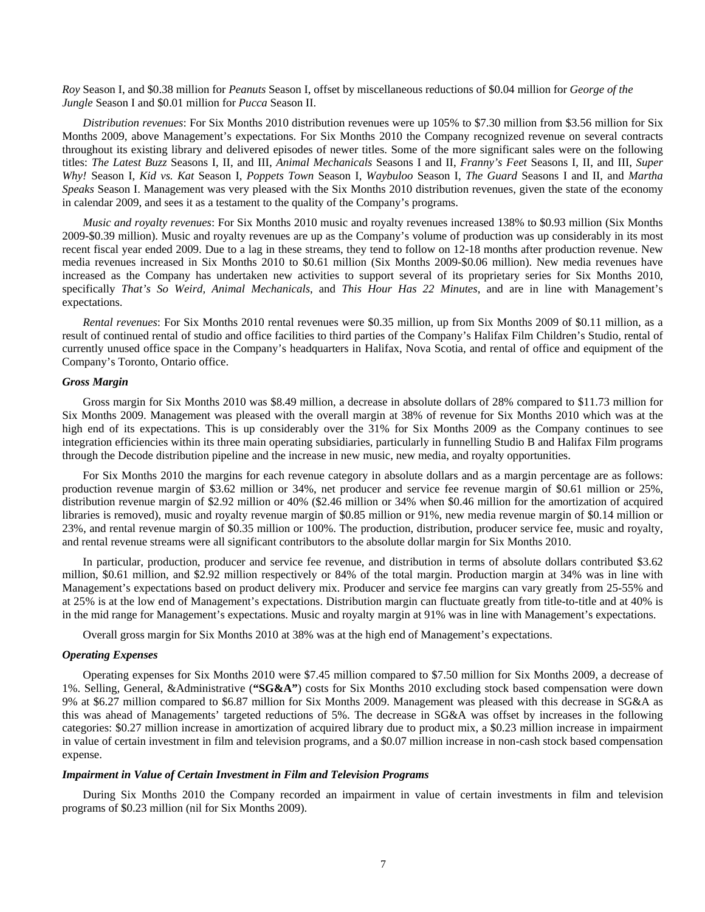*Roy* Season I, and \$0.38 million for *Peanuts* Season I, offset by miscellaneous reductions of \$0.04 million for *George of the Jungle* Season I and \$0.01 million for *Pucca* Season II.

*Distribution revenues*: For Six Months 2010 distribution revenues were up 105% to \$7.30 million from \$3.56 million for Six Months 2009, above Management's expectations. For Six Months 2010 the Company recognized revenue on several contracts throughout its existing library and delivered episodes of newer titles. Some of the more significant sales were on the following titles: *The Latest Buzz* Seasons I, II, and III, *Animal Mechanicals* Seasons I and II, *Franny's Feet* Seasons I, II, and III, *Super Why!* Season I, *Kid vs. Kat* Season I, *Poppets Town* Season I, *Waybuloo* Season I, *The Guard* Seasons I and II, and *Martha Speaks* Season I. Management was very pleased with the Six Months 2010 distribution revenues, given the state of the economy in calendar 2009, and sees it as a testament to the quality of the Company's programs.

*Music and royalty revenues*: For Six Months 2010 music and royalty revenues increased 138% to \$0.93 million (Six Months 2009-\$0.39 million). Music and royalty revenues are up as the Company's volume of production was up considerably in its most recent fiscal year ended 2009. Due to a lag in these streams, they tend to follow on 12-18 months after production revenue. New media revenues increased in Six Months 2010 to \$0.61 million (Six Months 2009-\$0.06 million). New media revenues have increased as the Company has undertaken new activities to support several of its proprietary series for Six Months 2010, specifically *That's So Weird, Animal Mechanicals*, and *This Hour Has 22 Minutes*, and are in line with Management's expectations.

*Rental revenues*: For Six Months 2010 rental revenues were \$0.35 million, up from Six Months 2009 of \$0.11 million, as a result of continued rental of studio and office facilities to third parties of the Company's Halifax Film Children's Studio, rental of currently unused office space in the Company's headquarters in Halifax, Nova Scotia, and rental of office and equipment of the Company's Toronto, Ontario office.

## *Gross Margin*

Gross margin for Six Months 2010 was \$8.49 million, a decrease in absolute dollars of 28% compared to \$11.73 million for Six Months 2009. Management was pleased with the overall margin at 38% of revenue for Six Months 2010 which was at the high end of its expectations. This is up considerably over the 31% for Six Months 2009 as the Company continues to see integration efficiencies within its three main operating subsidiaries, particularly in funnelling Studio B and Halifax Film programs through the Decode distribution pipeline and the increase in new music, new media, and royalty opportunities.

For Six Months 2010 the margins for each revenue category in absolute dollars and as a margin percentage are as follows: production revenue margin of \$3.62 million or 34%, net producer and service fee revenue margin of \$0.61 million or 25%, distribution revenue margin of \$2.92 million or 40% (\$2.46 million or 34% when \$0.46 million for the amortization of acquired libraries is removed), music and royalty revenue margin of \$0.85 million or 91%, new media revenue margin of \$0.14 million or 23%, and rental revenue margin of \$0.35 million or 100%. The production, distribution, producer service fee, music and royalty, and rental revenue streams were all significant contributors to the absolute dollar margin for Six Months 2010.

In particular, production, producer and service fee revenue, and distribution in terms of absolute dollars contributed \$3.62 million, \$0.61 million, and \$2.92 million respectively or 84% of the total margin. Production margin at 34% was in line with Management's expectations based on product delivery mix. Producer and service fee margins can vary greatly from 25-55% and at 25% is at the low end of Management's expectations. Distribution margin can fluctuate greatly from title-to-title and at 40% is in the mid range for Management's expectations. Music and royalty margin at 91% was in line with Management's expectations.

Overall gross margin for Six Months 2010 at 38% was at the high end of Management's expectations.

#### *Operating Expenses*

Operating expenses for Six Months 2010 were \$7.45 million compared to \$7.50 million for Six Months 2009, a decrease of 1%. Selling, General, &Administrative (**"SG&A"**) costs for Six Months 2010 excluding stock based compensation were down 9% at \$6.27 million compared to \$6.87 million for Six Months 2009. Management was pleased with this decrease in SG&A as this was ahead of Managements' targeted reductions of 5%. The decrease in SG&A was offset by increases in the following categories: \$0.27 million increase in amortization of acquired library due to product mix, a \$0.23 million increase in impairment in value of certain investment in film and television programs, and a \$0.07 million increase in non-cash stock based compensation expense.

#### *Impairment in Value of Certain Investment in Film and Television Programs*

During Six Months 2010 the Company recorded an impairment in value of certain investments in film and television programs of \$0.23 million (nil for Six Months 2009).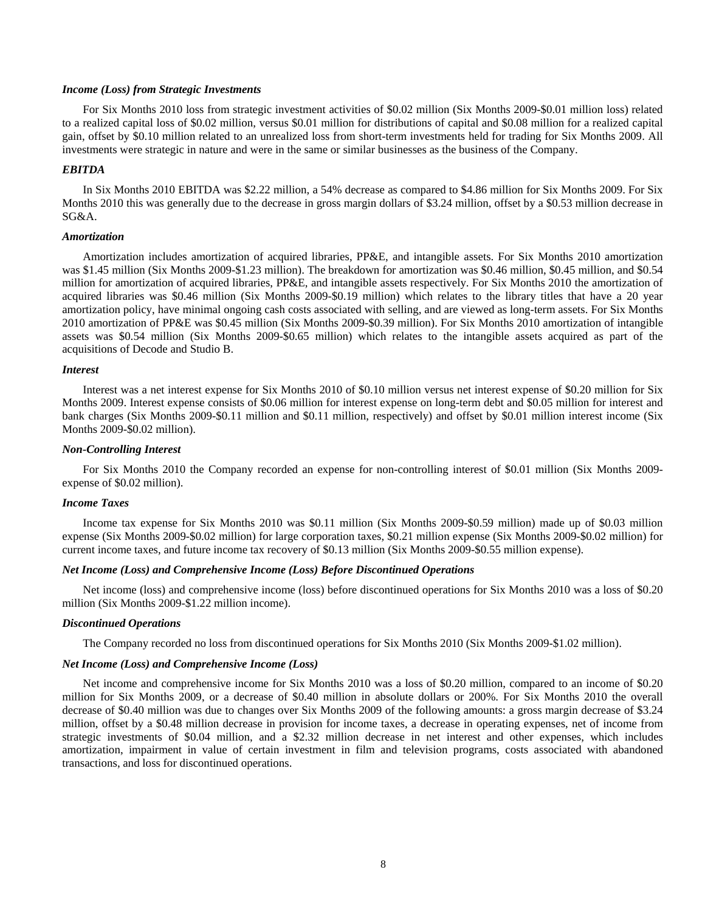## *Income (Loss) from Strategic Investments*

For Six Months 2010 loss from strategic investment activities of \$0.02 million (Six Months 2009-\$0.01 million loss) related to a realized capital loss of \$0.02 million, versus \$0.01 million for distributions of capital and \$0.08 million for a realized capital gain, offset by \$0.10 million related to an unrealized loss from short-term investments held for trading for Six Months 2009. All investments were strategic in nature and were in the same or similar businesses as the business of the Company.

## *EBITDA*

In Six Months 2010 EBITDA was \$2.22 million, a 54% decrease as compared to \$4.86 million for Six Months 2009. For Six Months 2010 this was generally due to the decrease in gross margin dollars of \$3.24 million, offset by a \$0.53 million decrease in SG&A.

## *Amortization*

Amortization includes amortization of acquired libraries, PP&E, and intangible assets. For Six Months 2010 amortization was \$1.45 million (Six Months 2009-\$1.23 million). The breakdown for amortization was \$0.46 million, \$0.45 million, and \$0.54 million for amortization of acquired libraries, PP&E, and intangible assets respectively. For Six Months 2010 the amortization of acquired libraries was \$0.46 million (Six Months 2009-\$0.19 million) which relates to the library titles that have a 20 year amortization policy, have minimal ongoing cash costs associated with selling, and are viewed as long-term assets. For Six Months 2010 amortization of PP&E was \$0.45 million (Six Months 2009-\$0.39 million). For Six Months 2010 amortization of intangible assets was \$0.54 million (Six Months 2009-\$0.65 million) which relates to the intangible assets acquired as part of the acquisitions of Decode and Studio B.

#### *Interest*

Interest was a net interest expense for Six Months 2010 of \$0.10 million versus net interest expense of \$0.20 million for Six Months 2009. Interest expense consists of \$0.06 million for interest expense on long-term debt and \$0.05 million for interest and bank charges (Six Months 2009-\$0.11 million and \$0.11 million, respectively) and offset by \$0.01 million interest income (Six Months 2009-\$0.02 million).

## *Non-Controlling Interest*

For Six Months 2010 the Company recorded an expense for non-controlling interest of \$0.01 million (Six Months 2009 expense of \$0.02 million).

#### *Income Taxes*

Income tax expense for Six Months 2010 was \$0.11 million (Six Months 2009-\$0.59 million) made up of \$0.03 million expense (Six Months 2009-\$0.02 million) for large corporation taxes, \$0.21 million expense (Six Months 2009-\$0.02 million) for current income taxes, and future income tax recovery of \$0.13 million (Six Months 2009-\$0.55 million expense).

## *Net Income (Loss) and Comprehensive Income (Loss) Before Discontinued Operations*

Net income (loss) and comprehensive income (loss) before discontinued operations for Six Months 2010 was a loss of \$0.20 million (Six Months 2009-\$1.22 million income).

#### *Discontinued Operations*

The Company recorded no loss from discontinued operations for Six Months 2010 (Six Months 2009-\$1.02 million).

## *Net Income (Loss) and Comprehensive Income (Loss)*

Net income and comprehensive income for Six Months 2010 was a loss of \$0.20 million, compared to an income of \$0.20 million for Six Months 2009, or a decrease of \$0.40 million in absolute dollars or 200%. For Six Months 2010 the overall decrease of \$0.40 million was due to changes over Six Months 2009 of the following amounts: a gross margin decrease of \$3.24 million, offset by a \$0.48 million decrease in provision for income taxes, a decrease in operating expenses, net of income from strategic investments of \$0.04 million, and a \$2.32 million decrease in net interest and other expenses, which includes amortization, impairment in value of certain investment in film and television programs, costs associated with abandoned transactions, and loss for discontinued operations.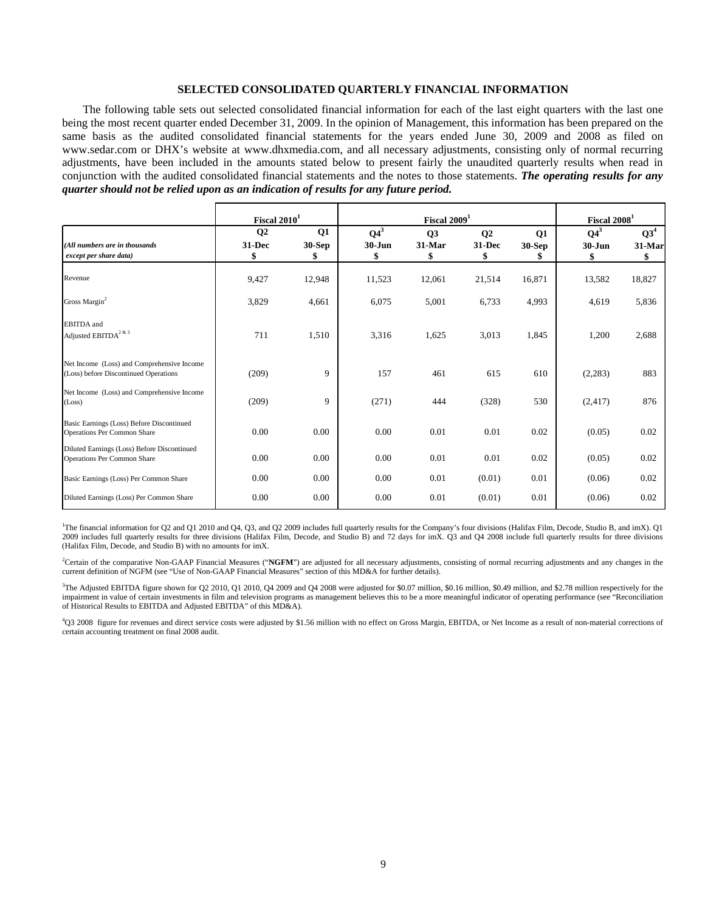## **SELECTED CONSOLIDATED QUARTERLY FINANCIAL INFORMATION**

The following table sets out selected consolidated financial information for each of the last eight quarters with the last one being the most recent quarter ended December 31, 2009. In the opinion of Management, this information has been prepared on the same basis as the audited consolidated financial statements for the years ended June 30, 2009 and 2008 as filed on www.sedar.com [or DHX's website at www.dhxmedia.com,](http://www.dhxmedia.com/) and all necessary adjustments, consisting only of normal recurring adjustments, have been included in the amounts stated below to present fairly the unaudited quarterly results when read in conjunction with the audited consolidated financial statements and the notes to those statements. *The operating results for any quarter should not be relied upon as an indication of results for any future period.* 

|                                                                                     | Fiscal $20101$                 |                                  |                            |                    | Fiscal 2009 <sup>1</sup>     |                                 |                            | Fiscal 2008 <sup>1</sup>        |  |  |
|-------------------------------------------------------------------------------------|--------------------------------|----------------------------------|----------------------------|--------------------|------------------------------|---------------------------------|----------------------------|---------------------------------|--|--|
| (All numbers are in thousands<br>except per share data)                             | Q <sub>2</sub><br>31-Dec<br>\$ | $\mathbf{Q}$ 1<br>$30-Sep$<br>\$ | $Q4^3$<br>$30 - Jun$<br>\$ | Q3<br>31-Mar<br>\$ | $\mathbf{Q}$<br>31-Dec<br>\$ | $\mathbf{Q1}$<br>$30-Sep$<br>\$ | $Q4^3$<br>$30 - Jun$<br>\$ | Q3 <sup>4</sup><br>31-Mar<br>\$ |  |  |
| Revenue                                                                             | 9,427                          | 12,948                           | 11,523                     | 12,061             | 21,514                       | 16,871                          | 13,582                     | 18,827                          |  |  |
| Gross Margin <sup>2</sup>                                                           | 3,829                          | 4,661                            | 6,075                      | 5,001              | 6,733                        | 4,993                           | 4,619                      | 5,836                           |  |  |
| <b>EBITDA</b> and<br>Adjusted $\text{EBITDA}^{2 \text{ \& } 3}$                     | 711                            | 1,510                            | 3,316                      | 1,625              | 3,013                        | 1,845                           | 1,200                      | 2,688                           |  |  |
| Net Income (Loss) and Comprehensive Income<br>(Loss) before Discontinued Operations | (209)                          | 9                                | 157                        | 461                | 615                          | 610                             | (2,283)                    | 883                             |  |  |
| Net Income (Loss) and Comprehensive Income<br>(Loss)                                | (209)                          | 9                                | (271)                      | 444                | (328)                        | 530                             | (2, 417)                   | 876                             |  |  |
| Basic Earnings (Loss) Before Discontinued<br><b>Operations Per Common Share</b>     | 0.00                           | 0.00                             | 0.00                       | 0.01               | 0.01                         | 0.02                            | (0.05)                     | 0.02                            |  |  |
| Diluted Earnings (Loss) Before Discontinued<br>Operations Per Common Share          | 0.00                           | 0.00                             | 0.00                       | 0.01               | 0.01                         | 0.02                            | (0.05)                     | 0.02                            |  |  |
| Basic Earnings (Loss) Per Common Share                                              | 0.00                           | 0.00                             | 0.00                       | 0.01               | (0.01)                       | 0.01                            | (0.06)                     | 0.02                            |  |  |
| Diluted Earnings (Loss) Per Common Share                                            | 0.00                           | 0.00                             | 0.00                       | 0.01               | (0.01)                       | 0.01                            | (0.06)                     | 0.02                            |  |  |

<sup>1</sup>The financial information for Q2 and Q1 2010 and Q4, Q3, and Q2 2009 includes full quarterly results for the Company's four divisions (Halifax Film, Decode, Studio B, and imX). Q1 2009 includes full quarterly results for three divisions (Halifax Film, Decode, and Studio B) and 72 days for imX. Q3 and Q4 2008 include full quarterly results for three divisions (Halifax Film, Decode, and Studio B) with no amounts for imX.

<sup>2</sup>Certain of the comparative Non-GAAP Financial Measures ("NGFM") are adjusted for all necessary adjustments, consisting of normal recurring adjustments and any changes in the current definition of NGFM (see "Use of Non-GAAP Financial Measures" section of this MD&A for further details).

<sup>3</sup>The Adjusted EBITDA figure shown for Q2 2010, Q1 2010, Q4 2009 and Q4 2008 were adjusted for \$0.07 million, \$0.16 million, \$0.49 million, and \$2.78 million respectively for the impairment in value of certain investments in film and television programs as management believes this to be a more meaningful indicator of operating performance (see "Reconciliation of Historical Results to EBITDA and Adjusted EBITDA" of this MD&A).

4 Q3 2008 figure for revenues and direct service costs were adjusted by \$1.56 million with no effect on Gross Margin, EBITDA, or Net Income as a result of non-material corrections of certain accounting treatment on final 2008 audit.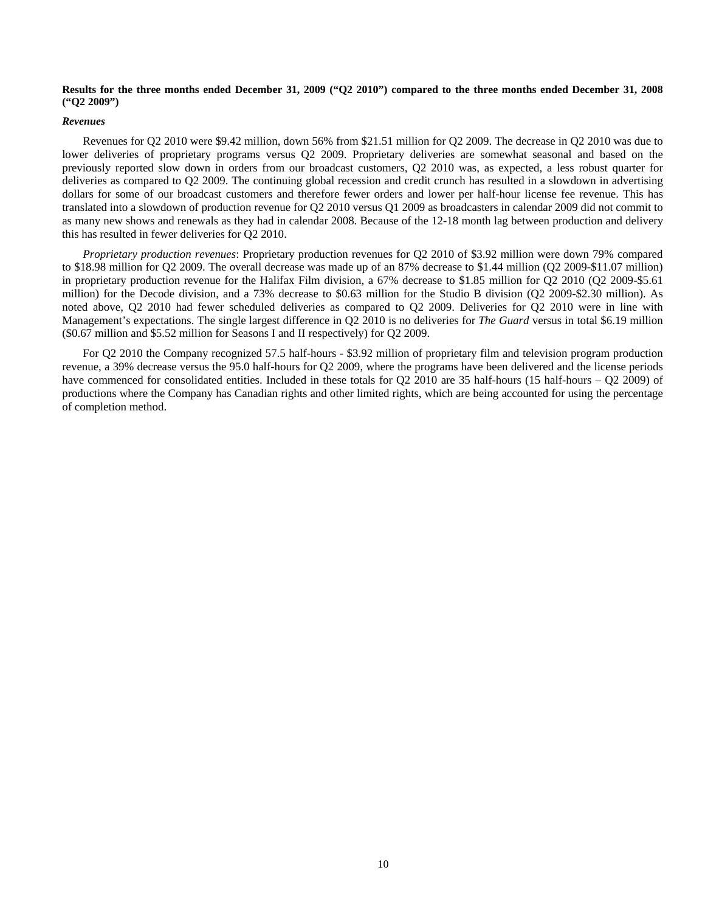## **Results for the three months ended December 31, 2009 ("Q2 2010") compared to the three months ended December 31, 2008 ("Q2 2009")**

#### *Revenues*

Revenues for Q2 2010 were \$9.42 million, down 56% from \$21.51 million for Q2 2009. The decrease in Q2 2010 was due to lower deliveries of proprietary programs versus Q2 2009. Proprietary deliveries are somewhat seasonal and based on the previously reported slow down in orders from our broadcast customers, Q2 2010 was, as expected, a less robust quarter for deliveries as compared to Q2 2009. The continuing global recession and credit crunch has resulted in a slowdown in advertising dollars for some of our broadcast customers and therefore fewer orders and lower per half-hour license fee revenue. This has translated into a slowdown of production revenue for Q2 2010 versus Q1 2009 as broadcasters in calendar 2009 did not commit to as many new shows and renewals as they had in calendar 2008. Because of the 12-18 month lag between production and delivery this has resulted in fewer deliveries for Q2 2010.

*Proprietary production revenues*: Proprietary production revenues for Q2 2010 of \$3.92 million were down 79% compared to \$18.98 million for Q2 2009. The overall decrease was made up of an 87% decrease to \$1.44 million (Q2 2009-\$11.07 million) in proprietary production revenue for the Halifax Film division, a 67% decrease to \$1.85 million for Q2 2010 (Q2 2009-\$5.61 million) for the Decode division, and a 73% decrease to \$0.63 million for the Studio B division (Q2 2009-\$2.30 million). As noted above, Q2 2010 had fewer scheduled deliveries as compared to Q2 2009. Deliveries for Q2 2010 were in line with Management's expectations. The single largest difference in Q2 2010 is no deliveries for *The Guard* versus in total \$6.19 million (\$0.67 million and \$5.52 million for Seasons I and II respectively) for Q2 2009.

For Q2 2010 the Company recognized 57.5 half-hours - \$3.92 million of proprietary film and television program production revenue, a 39% decrease versus the 95.0 half-hours for Q2 2009, where the programs have been delivered and the license periods have commenced for consolidated entities. Included in these totals for Q2 2010 are 35 half-hours (15 half-hours – Q2 2009) of productions where the Company has Canadian rights and other limited rights, which are being accounted for using the percentage of completion method.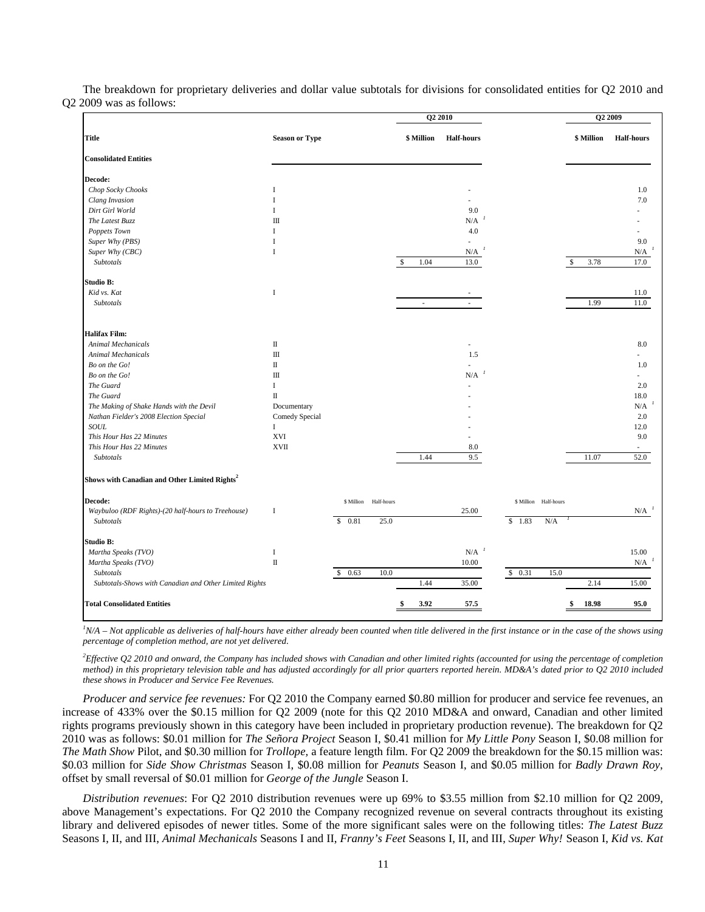The breakdown for proprietary deliveries and dollar value subtotals for divisions for consolidated entities for Q2 2010 and Q2 2009 was as follows:

|                                                           |                       |            |             | Q <sub>2</sub> 2010         |                   |        |                       | Q <sub>2</sub> 2009  |                   |
|-----------------------------------------------------------|-----------------------|------------|-------------|-----------------------------|-------------------|--------|-----------------------|----------------------|-------------------|
| <b>Title</b>                                              | <b>Season or Type</b> |            |             | \$ Million                  | <b>Half-hours</b> |        |                       | \$ Million           | <b>Half-hours</b> |
| <b>Consolidated Entities</b>                              |                       |            |             |                             |                   |        |                       |                      |                   |
| Decode:                                                   |                       |            |             |                             |                   |        |                       |                      |                   |
| Chop Socky Chooks                                         | I                     |            |             |                             |                   |        |                       |                      | 1.0               |
| Clang Invasion                                            | $\mathbf I$           |            |             |                             |                   |        |                       |                      | 7.0               |
| Dirt Girl World                                           | I                     |            |             |                             | 9.0               |        |                       |                      |                   |
| The Latest Buzz                                           | $\mathbf{m}$          |            |             |                             | N/A               |        |                       |                      |                   |
| Poppets Town                                              | $\mathbf{I}$          |            |             |                             | 4.0               |        |                       |                      |                   |
| Super Why (PBS)                                           | I                     |            |             |                             |                   |        |                       |                      | 9.0               |
| Super Why (CBC)                                           | $\mathbf I$           |            |             |                             | N/A               |        |                       |                      | N/A               |
| Subtotals                                                 |                       |            | $\mathbf S$ | 1.04                        | 13.0              |        |                       | 3.78<br>$\mathbb{S}$ | 17.0              |
| Studio B:                                                 |                       |            |             |                             |                   |        |                       |                      |                   |
| Kid vs. Kat                                               | $\bf{I}$              |            |             |                             |                   |        |                       |                      | 11.0              |
| Subtotals                                                 |                       |            |             | $\mathcal{L}_{\mathcal{A}}$ | $\sim$            |        |                       | 1.99                 | 11.0              |
| <b>Halifax Film:</b>                                      |                       |            |             |                             |                   |        |                       |                      |                   |
| <b>Animal Mechanicals</b>                                 | $\rm II$              |            |             |                             |                   |        |                       |                      | 8.0               |
| Animal Mechanicals                                        | $\rm III$             |            |             |                             | 1.5               |        |                       |                      |                   |
| Bo on the Go!                                             | П                     |            |             |                             |                   |        |                       |                      | 1.0               |
| Bo on the Go!                                             | $\rm III$             |            |             |                             | N/A               |        |                       |                      |                   |
| The Guard                                                 | $\bf{I}$              |            |             |                             |                   |        |                       |                      | 2.0               |
| The Guard                                                 | $\scriptstyle\rm II$  |            |             |                             |                   |        |                       |                      | 18.0              |
|                                                           |                       |            |             |                             |                   |        |                       |                      | N/A               |
| The Making of Shake Hands with the Devil                  | Documentary           |            |             |                             |                   |        |                       |                      | 2.0               |
| Nathan Fielder's 2008 Election Special<br>SOUL            | Comedy Special        |            |             |                             |                   |        |                       |                      |                   |
|                                                           | $\bf{I}$              |            |             |                             |                   |        |                       |                      | 12.0              |
| This Hour Has 22 Minutes                                  | <b>XVI</b>            |            |             |                             |                   |        |                       |                      | 9.0               |
| This Hour Has 22 Minutes<br>Subtotals                     | <b>XVII</b>           |            |             | 1.44                        | 8.0<br>9.5        |        |                       | 11.07                | ä,<br>52.0        |
| Shows with Canadian and Other Limited Rights <sup>2</sup> |                       |            |             |                             |                   |        |                       |                      |                   |
| Decode:                                                   |                       | \$ Million | Half-hours  |                             |                   |        | \$ Million Half-hours |                      |                   |
| Waybuloo (RDF Rights)-(20 half-hours to Treehouse)        | I                     |            |             |                             | 25.00             |        |                       |                      | N/A               |
| Subtotals                                                 |                       | \$0.81     | 25.0        |                             |                   | \$1.83 | N/A                   |                      |                   |
| Studio B:                                                 |                       |            |             |                             |                   |        |                       |                      |                   |
| Martha Speaks (TVO)                                       | $\bf{I}$              |            |             |                             | N/A               |        |                       |                      | 15.00             |
| Martha Speaks (TVO)                                       | $\rm II$              |            |             |                             | 10.00             |        |                       |                      | N/A               |
| Subtotals                                                 |                       | \$0.63     | 10.0        |                             |                   | \$0.31 | 15.0                  |                      |                   |
| Subtotals-Shows with Canadian and Other Limited Rights    |                       |            |             | 1.44                        | 35.00             |        |                       | 2.14                 | 15.00             |
| <b>Total Consolidated Entities</b>                        |                       |            |             | 3.92                        | 57.5              |        |                       | 18.98                | 95.0              |

<sup>*I</sup>N/A – Not applicable as deliveries of half-hours have either already been counted when title delivered in the first instance or in the case of the shows using</sup> percentage of completion method, are not yet delivered*.

*2 Effective Q2 2010 and onward, the Company has included shows with Canadian and other limited rights (accounted for using the percentage of completion method) in this proprietary television table and has adjusted accordingly for all prior quarters reported herein. MD&A's dated prior to Q2 2010 included these shows in Producer and Service Fee Revenues.* 

*Producer and service fee revenues:* For Q2 2010 the Company earned \$0.80 million for producer and service fee revenues, an increase of 433% over the \$0.15 million for Q2 2009 (note for this Q2 2010 MD&A and onward, Canadian and other limited rights programs previously shown in this category have been included in proprietary production revenue). The breakdown for Q2 2010 was as follows: \$0.01 million for *The Señora Project* Season I, \$0.41 million for *My Little Pony* Season I, \$0.08 million for *The Math Show* Pilot, and \$0.30 million for *Trollope,* a feature length film. For Q2 2009 the breakdown for the \$0.15 million was: \$0.03 million for *Side Show Christmas* Season I, \$0.08 million for *Peanuts* Season I, and \$0.05 million for *Badly Drawn Roy*, offset by small reversal of \$0.01 million for *George of the Jungle* Season I.

*Distribution revenues*: For Q2 2010 distribution revenues were up 69% to \$3.55 million from \$2.10 million for Q2 2009, above Management's expectations. For Q2 2010 the Company recognized revenue on several contracts throughout its existing library and delivered episodes of newer titles. Some of the more significant sales were on the following titles: *The Latest Buzz* Seasons I, II, and III, *Animal Mechanicals* Seasons I and II, *Franny's Feet* Seasons I, II, and III, *Super Why!* Season I, *Kid vs. Kat*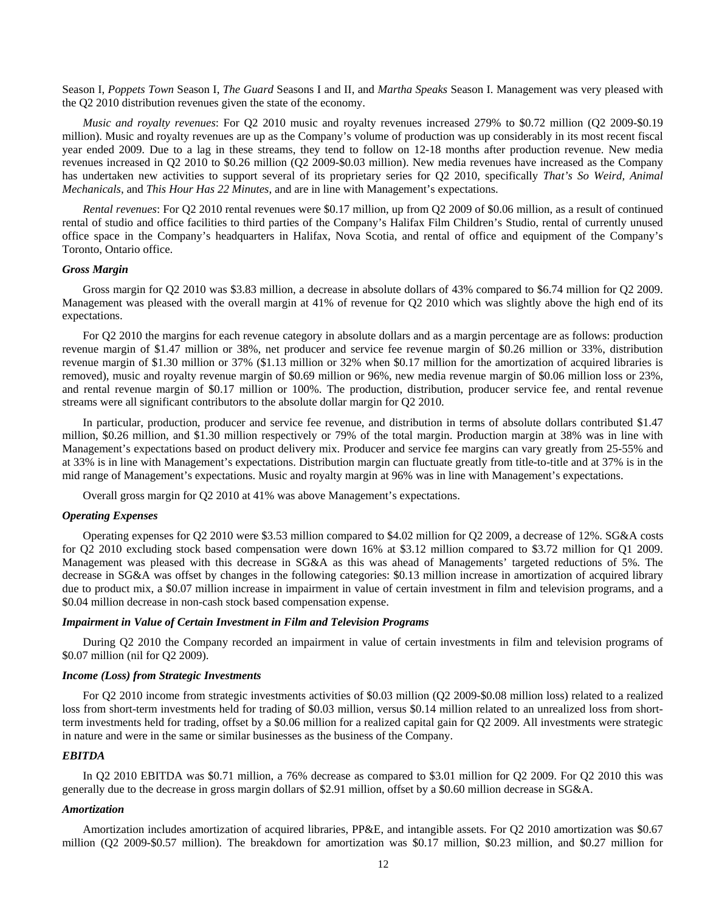Season I, *Poppets Town* Season I, *The Guard* Seasons I and II, and *Martha Speaks* Season I. Management was very pleased with the Q2 2010 distribution revenues given the state of the economy.

*Music and royalty revenues*: For Q2 2010 music and royalty revenues increased 279% to \$0.72 million (Q2 2009-\$0.19 million). Music and royalty revenues are up as the Company's volume of production was up considerably in its most recent fiscal year ended 2009. Due to a lag in these streams, they tend to follow on 12-18 months after production revenue. New media revenues increased in Q2 2010 to \$0.26 million (Q2 2009-\$0.03 million). New media revenues have increased as the Company has undertaken new activities to support several of its proprietary series for Q2 2010, specifically *That's So Weird, Animal Mechanicals*, and *This Hour Has 22 Minutes*, and are in line with Management's expectations.

*Rental revenues*: For Q2 2010 rental revenues were \$0.17 million, up from Q2 2009 of \$0.06 million, as a result of continued rental of studio and office facilities to third parties of the Company's Halifax Film Children's Studio, rental of currently unused office space in the Company's headquarters in Halifax, Nova Scotia, and rental of office and equipment of the Company's Toronto, Ontario office.

## *Gross Margin*

Gross margin for Q2 2010 was \$3.83 million, a decrease in absolute dollars of 43% compared to \$6.74 million for Q2 2009. Management was pleased with the overall margin at 41% of revenue for Q2 2010 which was slightly above the high end of its expectations.

For Q2 2010 the margins for each revenue category in absolute dollars and as a margin percentage are as follows: production revenue margin of \$1.47 million or 38%, net producer and service fee revenue margin of \$0.26 million or 33%, distribution revenue margin of \$1.30 million or 37% (\$1.13 million or 32% when \$0.17 million for the amortization of acquired libraries is removed), music and royalty revenue margin of \$0.69 million or 96%, new media revenue margin of \$0.06 million loss or 23%, and rental revenue margin of \$0.17 million or 100%. The production, distribution, producer service fee, and rental revenue streams were all significant contributors to the absolute dollar margin for Q2 2010.

In particular, production, producer and service fee revenue, and distribution in terms of absolute dollars contributed \$1.47 million, \$0.26 million, and \$1.30 million respectively or 79% of the total margin. Production margin at 38% was in line with Management's expectations based on product delivery mix. Producer and service fee margins can vary greatly from 25-55% and at 33% is in line with Management's expectations. Distribution margin can fluctuate greatly from title-to-title and at 37% is in the mid range of Management's expectations. Music and royalty margin at 96% was in line with Management's expectations.

Overall gross margin for Q2 2010 at 41% was above Management's expectations.

#### *Operating Expenses*

Operating expenses for Q2 2010 were \$3.53 million compared to \$4.02 million for Q2 2009, a decrease of 12%. SG&A costs for Q2 2010 excluding stock based compensation were down 16% at \$3.12 million compared to \$3.72 million for Q1 2009. Management was pleased with this decrease in SG&A as this was ahead of Managements' targeted reductions of 5%. The decrease in SG&A was offset by changes in the following categories: \$0.13 million increase in amortization of acquired library due to product mix, a \$0.07 million increase in impairment in value of certain investment in film and television programs, and a \$0.04 million decrease in non-cash stock based compensation expense.

## *Impairment in Value of Certain Investment in Film and Television Programs*

During Q2 2010 the Company recorded an impairment in value of certain investments in film and television programs of \$0.07 million (nil for Q2 2009).

## *Income (Loss) from Strategic Investments*

For Q2 2010 income from strategic investments activities of \$0.03 million (Q2 2009-\$0.08 million loss) related to a realized loss from short-term investments held for trading of \$0.03 million, versus \$0.14 million related to an unrealized loss from shortterm investments held for trading, offset by a \$0.06 million for a realized capital gain for Q2 2009. All investments were strategic in nature and were in the same or similar businesses as the business of the Company.

#### *EBITDA*

In Q2 2010 EBITDA was \$0.71 million, a 76% decrease as compared to \$3.01 million for Q2 2009. For Q2 2010 this was generally due to the decrease in gross margin dollars of \$2.91 million, offset by a \$0.60 million decrease in SG&A.

## *Amortization*

Amortization includes amortization of acquired libraries, PP&E, and intangible assets. For Q2 2010 amortization was \$0.67 million (Q2 2009-\$0.57 million). The breakdown for amortization was \$0.17 million, \$0.23 million, and \$0.27 million for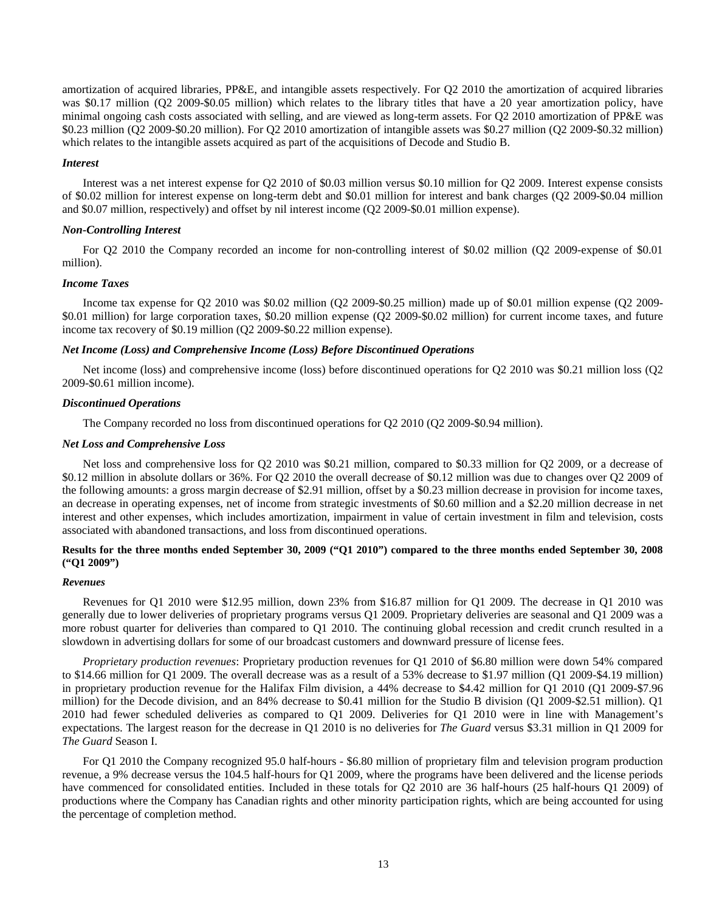amortization of acquired libraries, PP&E, and intangible assets respectively. For Q2 2010 the amortization of acquired libraries was \$0.17 million (O2 2009-\$0.05 million) which relates to the library titles that have a 20 year amortization policy, have minimal ongoing cash costs associated with selling, and are viewed as long-term assets. For Q2 2010 amortization of PP&E was \$0.23 million (Q2 2009-\$0.20 million). For Q2 2010 amortization of intangible assets was \$0.27 million (Q2 2009-\$0.32 million) which relates to the intangible assets acquired as part of the acquisitions of Decode and Studio B.

## *Interest*

Interest was a net interest expense for Q2 2010 of \$0.03 million versus \$0.10 million for Q2 2009. Interest expense consists of \$0.02 million for interest expense on long-term debt and \$0.01 million for interest and bank charges (Q2 2009-\$0.04 million and \$0.07 million, respectively) and offset by nil interest income (Q2 2009-\$0.01 million expense).

## *Non-Controlling Interest*

For Q2 2010 the Company recorded an income for non-controlling interest of \$0.02 million (Q2 2009-expense of \$0.01 million).

## *Income Taxes*

Income tax expense for Q2 2010 was \$0.02 million (Q2 2009-\$0.25 million) made up of \$0.01 million expense (Q2 2009- \$0.01 million) for large corporation taxes, \$0.20 million expense (Q2 2009-\$0.02 million) for current income taxes, and future income tax recovery of \$0.19 million (Q2 2009-\$0.22 million expense).

## *Net Income (Loss) and Comprehensive Income (Loss) Before Discontinued Operations*

Net income (loss) and comprehensive income (loss) before discontinued operations for Q2 2010 was \$0.21 million loss (Q2 2009-\$0.61 million income).

#### *Discontinued Operations*

The Company recorded no loss from discontinued operations for Q2 2010 (Q2 2009-\$0.94 million).

## *Net Loss and Comprehensive Loss*

Net loss and comprehensive loss for Q2 2010 was \$0.21 million, compared to \$0.33 million for Q2 2009, or a decrease of \$0.12 million in absolute dollars or 36%. For Q2 2010 the overall decrease of \$0.12 million was due to changes over Q2 2009 of the following amounts: a gross margin decrease of \$2.91 million, offset by a \$0.23 million decrease in provision for income taxes, an decrease in operating expenses, net of income from strategic investments of \$0.60 million and a \$2.20 million decrease in net interest and other expenses, which includes amortization, impairment in value of certain investment in film and television, costs associated with abandoned transactions, and loss from discontinued operations.

## **Results for the three months ended September 30, 2009 ("Q1 2010") compared to the three months ended September 30, 2008 ("Q1 2009")**

## *Revenues*

Revenues for Q1 2010 were \$12.95 million, down 23% from \$16.87 million for Q1 2009. The decrease in Q1 2010 was generally due to lower deliveries of proprietary programs versus Q1 2009. Proprietary deliveries are seasonal and Q1 2009 was a more robust quarter for deliveries than compared to Q1 2010. The continuing global recession and credit crunch resulted in a slowdown in advertising dollars for some of our broadcast customers and downward pressure of license fees.

*Proprietary production revenues*: Proprietary production revenues for Q1 2010 of \$6.80 million were down 54% compared to \$14.66 million for Q1 2009. The overall decrease was as a result of a 53% decrease to \$1.97 million (Q1 2009-\$4.19 million) in proprietary production revenue for the Halifax Film division, a 44% decrease to \$4.42 million for Q1 2010 (Q1 2009-\$7.96 million) for the Decode division, and an 84% decrease to \$0.41 million for the Studio B division (Q1 2009-\$2.51 million). Q1 2010 had fewer scheduled deliveries as compared to Q1 2009. Deliveries for Q1 2010 were in line with Management's expectations. The largest reason for the decrease in Q1 2010 is no deliveries for *The Guard* versus \$3.31 million in Q1 2009 for *The Guard* Season I.

For Q1 2010 the Company recognized 95.0 half-hours - \$6.80 million of proprietary film and television program production revenue, a 9% decrease versus the 104.5 half-hours for Q1 2009, where the programs have been delivered and the license periods have commenced for consolidated entities. Included in these totals for Q2 2010 are 36 half-hours (25 half-hours Q1 2009) of productions where the Company has Canadian rights and other minority participation rights, which are being accounted for using the percentage of completion method.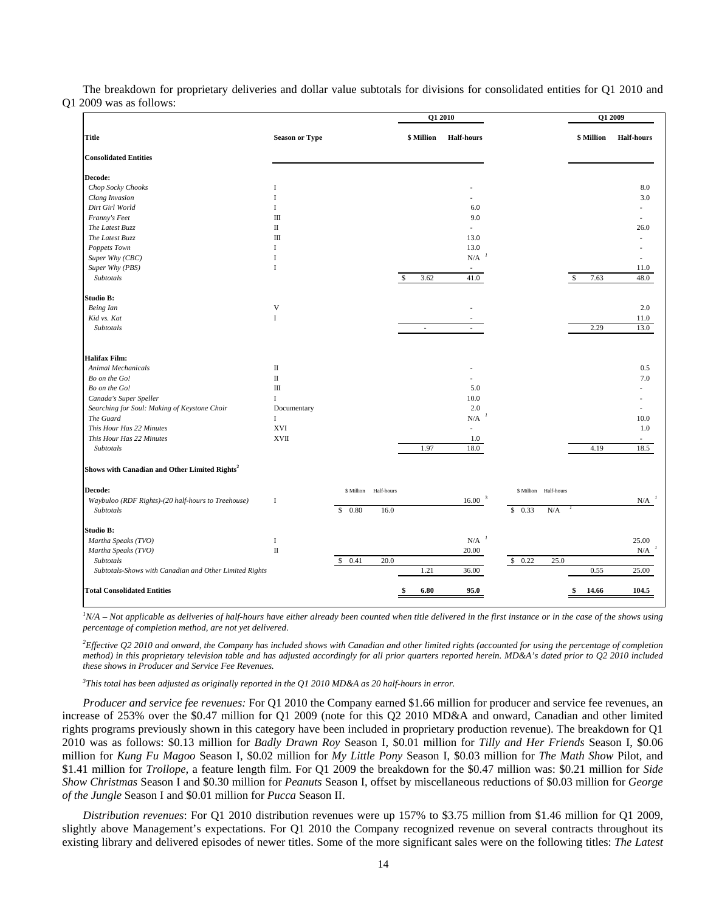The breakdown for proprietary deliveries and dollar value subtotals for divisions for consolidated entities for Q1 2010 and Q1 2009 was as follows:

|                                                           |                       |            |            |                             | Q1 2010                  |                          |            | Q1 2009           |
|-----------------------------------------------------------|-----------------------|------------|------------|-----------------------------|--------------------------|--------------------------|------------|-------------------|
| Title                                                     | <b>Season or Type</b> |            |            | \$ Million                  | <b>Half-hours</b>        |                          | \$ Million | <b>Half-hours</b> |
| <b>Consolidated Entities</b>                              |                       |            |            |                             |                          |                          |            |                   |
| Decode:                                                   |                       |            |            |                             |                          |                          |            |                   |
| Chop Socky Chooks                                         | 1                     |            |            |                             |                          |                          |            | 8.0               |
| Clang Invasion                                            | $\mathbf{I}$          |            |            |                             |                          |                          |            | 3.0               |
| Dirt Girl World                                           | <b>I</b>              |            |            |                             | 6.0                      |                          |            |                   |
| Franny's Feet                                             | $\mathbf{I}$          |            |            |                             | 9.0                      |                          |            |                   |
| The Latest Buzz                                           | $\rm{II}$             |            |            |                             |                          |                          |            | 26.0              |
| The Latest Buzz                                           | $\mathbf{I}$          |            |            |                             | 13.0                     |                          |            |                   |
| Poppets Town                                              | <b>I</b>              |            |            |                             | 13.0                     |                          |            |                   |
| Super Why (CBC)                                           | I                     |            |            |                             | N/A                      |                          |            |                   |
| Super Why (PBS)                                           | I                     |            |            |                             |                          |                          |            | 11.0              |
| Subtotals                                                 |                       |            |            | 3.62<br>S.                  | 41.0                     |                          | 7.63<br>\$ | 48.0              |
| Studio B:                                                 |                       |            |            |                             |                          |                          |            |                   |
| Being Ian                                                 | V                     |            |            |                             |                          |                          |            | 2.0               |
| Kid vs. Kat                                               | $\mathbf I$           |            |            |                             |                          |                          |            | 11.0              |
| Subtotals                                                 |                       |            |            | $\mathcal{L}_{\mathcal{A}}$ |                          |                          | 2.29       | 13.0              |
| <b>Halifax Film:</b>                                      |                       |            |            |                             |                          |                          |            |                   |
| <b>Animal Mechanicals</b>                                 | П                     |            |            |                             |                          |                          |            | 0.5               |
| Bo on the Go!                                             | $\rm II$              |            |            |                             |                          |                          |            | 7.0               |
| Bo on the Go!                                             | $\mathbf{I}$          |            |            |                             | 5.0                      |                          |            |                   |
| Canada's Super Speller                                    | Ι.                    |            |            |                             | 10.0                     |                          |            |                   |
| Searching for Soul: Making of Keystone Choir              | Documentary           |            |            |                             | 2.0                      |                          |            |                   |
| The Guard                                                 | $\bf{I}$              |            |            |                             | N/A                      |                          |            | 10.0              |
| This Hour Has 22 Minutes                                  | <b>XVI</b>            |            |            |                             | $\overline{\phantom{a}}$ |                          |            | 1.0               |
| This Hour Has 22 Minutes                                  | <b>XVII</b>           |            |            |                             | 1.0                      |                          |            |                   |
| Subtotals                                                 |                       |            |            | 1.97                        | 18.0                     |                          | 4.19       | 18.5              |
| Shows with Canadian and Other Limited Rights <sup>2</sup> |                       |            |            |                             |                          |                          |            |                   |
| Decode:                                                   |                       | \$ Million | Half-hours |                             |                          | \$ Million<br>Half-hours |            |                   |
| Waybuloo (RDF Rights)-(20 half-hours to Treehouse)        | $\mathbf I$           |            |            |                             | 16.00 <sup>3</sup>       |                          |            | N/A               |
| Subtotals                                                 |                       | \$0.80     | 16.0       |                             |                          | \$0.33<br>N/A            |            |                   |
| Studio B:                                                 |                       |            |            |                             |                          |                          |            |                   |
| Martha Speaks (TVO)                                       | $\;$ I                |            |            |                             | N/A                      |                          |            | 25.00             |
| Martha Speaks (TVO)                                       | $\rm II$              |            |            |                             | 20.00                    |                          |            | N/A               |
| Subtotals                                                 |                       | \$ 0.41    | 20.0       |                             |                          | \$ 0.22<br>25.0          |            |                   |
| Subtotals-Shows with Canadian and Other Limited Rights    |                       |            |            | 1.21                        | 36.00                    |                          | 0.55       | 25.00             |
| <b>Total Consolidated Entities</b>                        |                       |            |            | 6.80                        | 95.0                     |                          | 14.66      | 104.5             |

<sup>*IN/A – Not applicable as deliveries of half-hours have either already been counted when title delivered in the first instance or in the case of the shows using</sup> percentage of completion method, are not yet delivered*.

*2 Effective Q2 2010 and onward, the Company has included shows with Canadian and other limited rights (accounted for using the percentage of completion method) in this proprietary television table and has adjusted accordingly for all prior quarters reported herein. MD&A's dated prior to Q2 2010 included these shows in Producer and Service Fee Revenues.* 

*3 This total has been adjusted as originally reported in the Q1 2010 MD&A as 20 half-hours in error.* 

*Producer and service fee revenues:* For Q1 2010 the Company earned \$1.66 million for producer and service fee revenues, an increase of 253% over the \$0.47 million for Q1 2009 (note for this Q2 2010 MD&A and onward, Canadian and other limited rights programs previously shown in this category have been included in proprietary production revenue). The breakdown for Q1 2010 was as follows: \$0.13 million for *Badly Drawn Roy* Season I, \$0.01 million for *Tilly and Her Friends* Season I, \$0.06 million for *Kung Fu Magoo* Season I, \$0.02 million for *My Little Pony* Season I, \$0.03 million for *The Math Show* Pilot, and \$1.41 million for *Trollope,* a feature length film. For Q1 2009 the breakdown for the \$0.47 million was: \$0.21 million for *Side Show Christmas* Season I and \$0.30 million for *Peanuts* Season I, offset by miscellaneous reductions of \$0.03 million for *George of the Jungle* Season I and \$0.01 million for *Pucca* Season II.

*Distribution revenues*: For Q1 2010 distribution revenues were up 157% to \$3.75 million from \$1.46 million for Q1 2009, slightly above Management's expectations. For Q1 2010 the Company recognized revenue on several contracts throughout its existing library and delivered episodes of newer titles. Some of the more significant sales were on the following titles: *The Latest*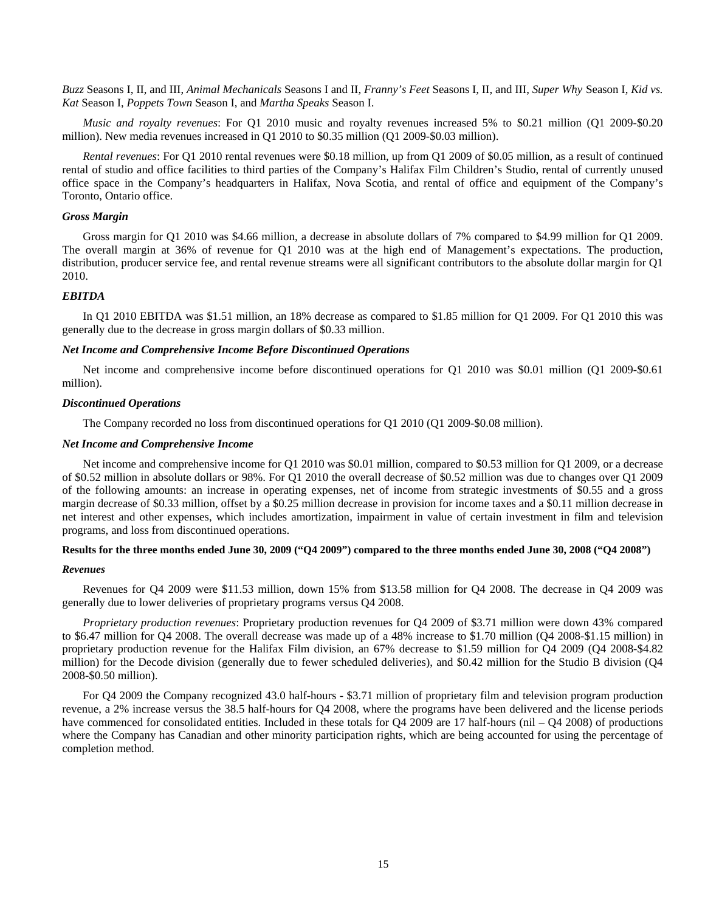*Buzz* Seasons I, II, and III, *Animal Mechanicals* Seasons I and II, *Franny's Feet* Seasons I, II, and III, *Super Why* Season I, *Kid vs. Kat* Season I, *Poppets Town* Season I, and *Martha Speaks* Season I.

*Music and royalty revenues*: For Q1 2010 music and royalty revenues increased 5% to \$0.21 million (Q1 2009-\$0.20 million). New media revenues increased in Q1 2010 to \$0.35 million (Q1 2009-\$0.03 million).

*Rental revenues*: For Q1 2010 rental revenues were \$0.18 million, up from Q1 2009 of \$0.05 million, as a result of continued rental of studio and office facilities to third parties of the Company's Halifax Film Children's Studio, rental of currently unused office space in the Company's headquarters in Halifax, Nova Scotia, and rental of office and equipment of the Company's Toronto, Ontario office.

## *Gross Margin*

Gross margin for Q1 2010 was \$4.66 million, a decrease in absolute dollars of 7% compared to \$4.99 million for Q1 2009. The overall margin at 36% of revenue for Q1 2010 was at the high end of Management's expectations. The production, distribution, producer service fee, and rental revenue streams were all significant contributors to the absolute dollar margin for Q1 2010.

## *EBITDA*

In Q1 2010 EBITDA was \$1.51 million, an 18% decrease as compared to \$1.85 million for Q1 2009. For Q1 2010 this was generally due to the decrease in gross margin dollars of \$0.33 million.

## *Net Income and Comprehensive Income Before Discontinued Operations*

Net income and comprehensive income before discontinued operations for Q1 2010 was \$0.01 million (Q1 2009-\$0.61 million).

#### *Discontinued Operations*

The Company recorded no loss from discontinued operations for Q1 2010 (Q1 2009-\$0.08 million).

## *Net Income and Comprehensive Income*

Net income and comprehensive income for Q1 2010 was \$0.01 million, compared to \$0.53 million for Q1 2009, or a decrease of \$0.52 million in absolute dollars or 98%. For Q1 2010 the overall decrease of \$0.52 million was due to changes over Q1 2009 of the following amounts: an increase in operating expenses, net of income from strategic investments of \$0.55 and a gross margin decrease of \$0.33 million, offset by a \$0.25 million decrease in provision for income taxes and a \$0.11 million decrease in net interest and other expenses, which includes amortization, impairment in value of certain investment in film and television programs, and loss from discontinued operations.

## **Results for the three months ended June 30, 2009 ("Q4 2009") compared to the three months ended June 30, 2008 ("Q4 2008")**

## *Revenues*

Revenues for Q4 2009 were \$11.53 million, down 15% from \$13.58 million for Q4 2008. The decrease in Q4 2009 was generally due to lower deliveries of proprietary programs versus Q4 2008.

*Proprietary production revenues*: Proprietary production revenues for Q4 2009 of \$3.71 million were down 43% compared to \$6.47 million for Q4 2008. The overall decrease was made up of a 48% increase to \$1.70 million (Q4 2008-\$1.15 million) in proprietary production revenue for the Halifax Film division, an 67% decrease to \$1.59 million for Q4 2009 (Q4 2008-\$4.82 million) for the Decode division (generally due to fewer scheduled deliveries), and \$0.42 million for the Studio B division (Q4 2008-\$0.50 million).

For Q4 2009 the Company recognized 43.0 half-hours - \$3.71 million of proprietary film and television program production revenue, a 2% increase versus the 38.5 half-hours for Q4 2008, where the programs have been delivered and the license periods have commenced for consolidated entities. Included in these totals for Q4 2009 are 17 half-hours (nil – Q4 2008) of productions where the Company has Canadian and other minority participation rights, which are being accounted for using the percentage of completion method.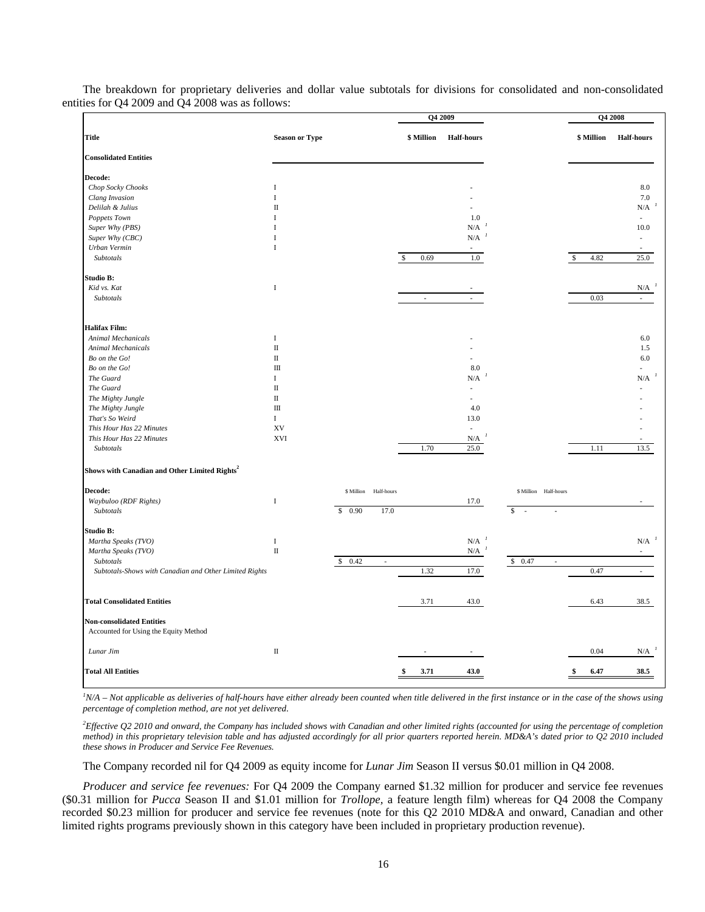|                                                                           |                       |                          | Q4 2009              |                   |                                    |            | Q4 2008                         |
|---------------------------------------------------------------------------|-----------------------|--------------------------|----------------------|-------------------|------------------------------------|------------|---------------------------------|
| <b>Title</b>                                                              | <b>Season or Type</b> |                          | \$ Million           | <b>Half-hours</b> |                                    | \$ Million | <b>Half-hours</b>               |
| <b>Consolidated Entities</b>                                              |                       |                          |                      |                   |                                    |            |                                 |
| Decode:                                                                   |                       |                          |                      |                   |                                    |            |                                 |
| Chop Socky Chooks                                                         | I                     |                          |                      |                   |                                    |            | 8.0                             |
| Clang Invasion                                                            | $\bf I$               |                          |                      |                   |                                    |            | $7.0\,$                         |
| Delilah & Julius                                                          | П                     |                          |                      |                   |                                    |            | $N/A$ <sup><math>I</math></sup> |
| Poppets Town                                                              | T                     |                          |                      | 1.0               |                                    |            |                                 |
| Super Why (PBS)                                                           | I                     |                          |                      | N/A               |                                    |            | 10.0                            |
| Super Why (CBC)                                                           | $\mathbf I$           |                          |                      | N/A               |                                    |            |                                 |
| Urban Vermin                                                              | $\mathbf I$           |                          |                      |                   |                                    |            |                                 |
| Subtotals                                                                 |                       |                          | 0.69<br>$\mathbb{S}$ | 1.0               |                                    | 4.82<br>\$ | 25.0                            |
| Studio B:                                                                 |                       |                          |                      |                   |                                    |            |                                 |
| Kid vs. Kat                                                               | $\mathbf I$           |                          |                      |                   |                                    |            | N/A                             |
| Subtotals                                                                 |                       |                          | ÷,                   |                   |                                    | 0.03       |                                 |
| <b>Halifax Film:</b>                                                      |                       |                          |                      |                   |                                    |            |                                 |
| Animal Mechanicals                                                        | $\bf I$               |                          |                      |                   |                                    |            | 6.0                             |
| <b>Animal Mechanicals</b>                                                 | $\rm II$              |                          |                      |                   |                                    |            | 1.5                             |
| Bo on the Go!                                                             | $\scriptstyle\rm II$  |                          |                      |                   |                                    |            | $6.0\,$                         |
| Bo on the Go!                                                             | $\mathbf{I}$          |                          |                      | 8.0               |                                    |            |                                 |
| The Guard                                                                 | $\mathbf{I}$          |                          |                      | N/A               |                                    |            | $\mbox{N/A}^{-1}$               |
| The Guard                                                                 | $\rm II$              |                          |                      | $\overline{a}$    |                                    |            |                                 |
| The Mighty Jungle                                                         | $\rm II$              |                          |                      |                   |                                    |            |                                 |
| The Mighty Jungle                                                         | $\rm III$             |                          |                      | 4.0               |                                    |            |                                 |
| That's So Weird                                                           | I                     |                          |                      | 13.0              |                                    |            |                                 |
| This Hour Has 22 Minutes                                                  | XV                    |                          |                      |                   |                                    |            |                                 |
| This Hour Has 22 Minutes                                                  | <b>XVI</b>            |                          |                      | N/A               |                                    |            |                                 |
| Subtotals                                                                 |                       |                          | 1.70                 | 25.0              |                                    | 1.11       | 13.5                            |
| Shows with Canadian and Other Limited Rights <sup>2</sup>                 |                       |                          |                      |                   |                                    |            |                                 |
| Decode:                                                                   |                       | Half-hours<br>\$ Million |                      |                   | \$ Million<br>Half-hours           |            |                                 |
| Waybuloo (RDF Rights)                                                     | $\bf I$               |                          |                      | 17.0              |                                    |            |                                 |
| Subtotals                                                                 |                       | \$0.90<br>17.0           |                      |                   | \$<br>J.<br>l,                     |            |                                 |
| Studio B:                                                                 |                       |                          |                      |                   |                                    |            | $\mbox{N/A}^{-1}$               |
| Martha Speaks (TVO)                                                       | $\bf I$               |                          |                      | N/A               |                                    |            |                                 |
| Martha Speaks (TVO)                                                       | $\rm II$              |                          |                      | N/A               |                                    |            |                                 |
| Subtotals                                                                 |                       | \$<br>0.42<br>$\sim$     |                      |                   | \$0.47<br>$\overline{\phantom{a}}$ |            |                                 |
| Subtotals-Shows with Canadian and Other Limited Rights                    |                       |                          | 1.32                 | 17.0              |                                    | 0.47       | $\mathcal{L}$                   |
| <b>Total Consolidated Entities</b>                                        |                       |                          | 3.71                 | 43.0              |                                    | 6.43       | 38.5                            |
| <b>Non-consolidated Entities</b><br>Accounted for Using the Equity Method |                       |                          |                      |                   |                                    |            |                                 |
| Lunar Jim                                                                 | $\rm II$              |                          |                      |                   |                                    | 0.04       | N/A                             |
| <b>Total All Entities</b>                                                 |                       |                          | 3.71                 | 43.0              |                                    | 6.47       | 38.5                            |

The breakdown for proprietary deliveries and dollar value subtotals for divisions for consolidated and non-consolidated entities for Q4 2009 and Q4 2008 was as follows:

<sup>*IN/A – Not applicable as deliveries of half-hours have either already been counted when title delivered in the first instance or in the case of the shows using</sup> percentage of completion method, are not yet delivered*.

*2 Effective Q2 2010 and onward, the Company has included shows with Canadian and other limited rights (accounted for using the percentage of completion method) in this proprietary television table and has adjusted accordingly for all prior quarters reported herein. MD&A's dated prior to Q2 2010 included these shows in Producer and Service Fee Revenues.* 

The Company recorded nil for Q4 2009 as equity income for *Lunar Jim* Season II versus \$0.01 million in Q4 2008.

*Producer and service fee revenues:* For Q4 2009 the Company earned \$1.32 million for producer and service fee revenues (\$0.31 million for *Pucca* Season II and \$1.01 million for *Trollope,* a feature length film) whereas for Q4 2008 the Company recorded \$0.23 million for producer and service fee revenues (note for this Q2 2010 MD&A and onward, Canadian and other limited rights programs previously shown in this category have been included in proprietary production revenue).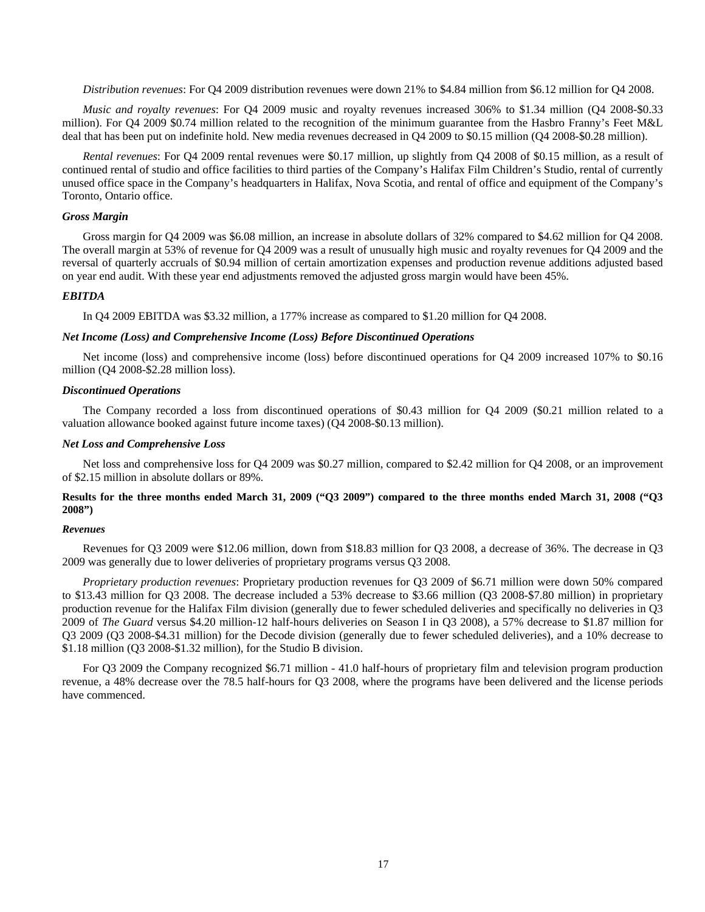*Distribution revenues*: For Q4 2009 distribution revenues were down 21% to \$4.84 million from \$6.12 million for Q4 2008.

*Music and royalty revenues*: For Q4 2009 music and royalty revenues increased 306% to \$1.34 million (Q4 2008-\$0.33 million). For Q4 2009 \$0.74 million related to the recognition of the minimum guarantee from the Hasbro Franny's Feet M&L deal that has been put on indefinite hold. New media revenues decreased in Q4 2009 to \$0.15 million (Q4 2008-\$0.28 million).

*Rental revenues*: For Q4 2009 rental revenues were \$0.17 million, up slightly from Q4 2008 of \$0.15 million, as a result of continued rental of studio and office facilities to third parties of the Company's Halifax Film Children's Studio, rental of currently unused office space in the Company's headquarters in Halifax, Nova Scotia, and rental of office and equipment of the Company's Toronto, Ontario office.

## *Gross Margin*

Gross margin for Q4 2009 was \$6.08 million, an increase in absolute dollars of 32% compared to \$4.62 million for Q4 2008. The overall margin at 53% of revenue for Q4 2009 was a result of unusually high music and royalty revenues for Q4 2009 and the reversal of quarterly accruals of \$0.94 million of certain amortization expenses and production revenue additions adjusted based on year end audit. With these year end adjustments removed the adjusted gross margin would have been 45%.

## *EBITDA*

In Q4 2009 EBITDA was \$3.32 million, a 177% increase as compared to \$1.20 million for Q4 2008.

## *Net Income (Loss) and Comprehensive Income (Loss) Before Discontinued Operations*

Net income (loss) and comprehensive income (loss) before discontinued operations for Q4 2009 increased 107% to \$0.16 million (Q4 2008-\$2.28 million loss).

#### *Discontinued Operations*

The Company recorded a loss from discontinued operations of \$0.43 million for Q4 2009 (\$0.21 million related to a valuation allowance booked against future income taxes) (Q4 2008-\$0.13 million).

## *Net Loss and Comprehensive Loss*

Net loss and comprehensive loss for Q4 2009 was \$0.27 million, compared to \$2.42 million for Q4 2008, or an improvement of \$2.15 million in absolute dollars or 89%.

## **Results for the three months ended March 31, 2009 ("Q3 2009") compared to the three months ended March 31, 2008 ("Q3 2008")**

## *Revenues*

Revenues for Q3 2009 were \$12.06 million, down from \$18.83 million for Q3 2008, a decrease of 36%. The decrease in Q3 2009 was generally due to lower deliveries of proprietary programs versus Q3 2008.

*Proprietary production revenues*: Proprietary production revenues for Q3 2009 of \$6.71 million were down 50% compared to \$13.43 million for Q3 2008. The decrease included a 53% decrease to \$3.66 million (Q3 2008-\$7.80 million) in proprietary production revenue for the Halifax Film division (generally due to fewer scheduled deliveries and specifically no deliveries in Q3 2009 of *The Guard* versus \$4.20 million-12 half-hours deliveries on Season I in Q3 2008), a 57% decrease to \$1.87 million for Q3 2009 (Q3 2008-\$4.31 million) for the Decode division (generally due to fewer scheduled deliveries), and a 10% decrease to \$1.18 million (Q3 2008-\$1.32 million), for the Studio B division.

For Q3 2009 the Company recognized \$6.71 million - 41.0 half-hours of proprietary film and television program production revenue, a 48% decrease over the 78.5 half-hours for Q3 2008, where the programs have been delivered and the license periods have commenced.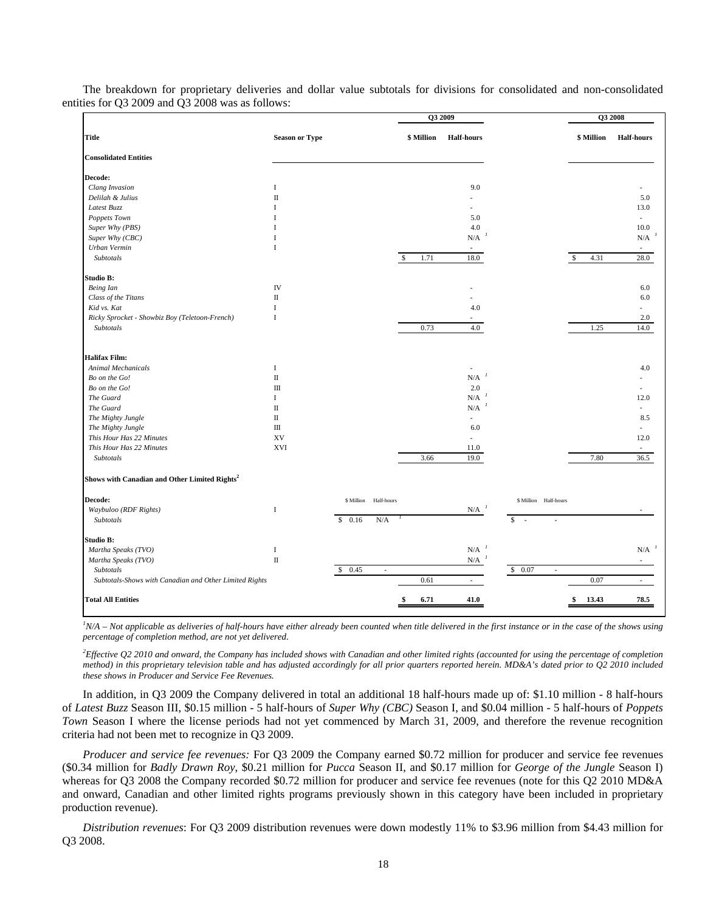|                                                                     |                       |                          | Q3 2009               |                                 |                                    | Q3 2008               |                                 |
|---------------------------------------------------------------------|-----------------------|--------------------------|-----------------------|---------------------------------|------------------------------------|-----------------------|---------------------------------|
| <b>Title</b>                                                        | <b>Season or Type</b> |                          | \$ Million            | <b>Half-hours</b>               |                                    | \$ Million            | <b>Half-hours</b>               |
| <b>Consolidated Entities</b>                                        |                       |                          |                       |                                 |                                    |                       |                                 |
| Decode:                                                             |                       |                          |                       |                                 |                                    |                       |                                 |
| Clang Invasion                                                      | I                     |                          |                       | 9.0                             |                                    |                       |                                 |
| Delilah & Julius                                                    | $\rm II$              |                          |                       |                                 |                                    |                       | 5.0                             |
| Latest Buzz                                                         | I                     |                          |                       |                                 |                                    |                       | 13.0                            |
| Poppets Town                                                        | T                     |                          |                       | 5.0                             |                                    |                       | $\sim$                          |
| Super Why (PBS)                                                     | I                     |                          |                       | 4.0                             |                                    |                       | 10.0                            |
| Super Why (CBC)                                                     | I                     |                          |                       | N/A                             |                                    |                       | $N/A$ <sup><math>1</math></sup> |
| Urban Vermin                                                        | $\mathbf I$           |                          |                       |                                 |                                    |                       |                                 |
| Subtotals                                                           |                       |                          | 1.71<br>$\mathcal{S}$ | 18.0                            |                                    | 4.31<br><sup>\$</sup> | 28.0                            |
| Studio B:                                                           |                       |                          |                       |                                 |                                    |                       |                                 |
| <b>Being</b> Ian                                                    | IV                    |                          |                       |                                 |                                    |                       | 6.0                             |
| Class of the Titans                                                 | $\rm II$              |                          |                       |                                 |                                    |                       | 6.0                             |
| Kid vs. Kat                                                         | I                     |                          |                       | 4.0                             |                                    |                       | ٠                               |
| Ricky Sprocket - Showbiz Boy (Teletoon-French)                      | $\mathbf I$           |                          |                       |                                 |                                    |                       | 2.0                             |
| Subtotals                                                           |                       |                          | 0.73                  | 4.0                             |                                    | 1.25                  | 14.0                            |
| <b>Halifax Film:</b>                                                |                       |                          |                       |                                 |                                    |                       |                                 |
| Animal Mechanicals                                                  | $\mathbf I$           |                          |                       |                                 |                                    |                       | 4.0                             |
| Bo on the Go!                                                       | $\rm II$              |                          |                       | N/A                             |                                    |                       |                                 |
| Bo on the Go!                                                       | $\mathbf{I}$          |                          |                       | 2.0                             |                                    |                       |                                 |
| The Guard                                                           | $\mathbf I$           |                          |                       | N/A                             |                                    |                       | 12.0                            |
| The Guard                                                           | $\rm II$              |                          |                       | N/A                             |                                    |                       | ÷.                              |
|                                                                     | $\rm II$              |                          |                       |                                 |                                    |                       |                                 |
| The Mighty Jungle                                                   | $\rm III$             |                          |                       | $\overline{\phantom{a}}$<br>6.0 |                                    |                       | 8.5<br>ä,                       |
| The Mighty Jungle                                                   |                       |                          |                       |                                 |                                    |                       |                                 |
| This Hour Has 22 Minutes                                            | XV                    |                          |                       |                                 |                                    |                       | 12.0                            |
| This Hour Has 22 Minutes<br>Subtotals                               | <b>XVI</b>            |                          | 3.66                  | 11.0<br>19.0                    |                                    | 7.80                  | $\sim$<br>36.5                  |
| Shows with Canadian and Other Limited Rights <sup>2</sup>           |                       |                          |                       |                                 |                                    |                       |                                 |
| Decode:                                                             |                       | Half-hours<br>\$ Million |                       |                                 | \$ Million Half-hours              |                       |                                 |
| Waybuloo (RDF Rights)                                               | $\mathbf I$           | N/A                      |                       | N/A                             |                                    |                       |                                 |
| Subtotals                                                           |                       | \$0.16                   |                       |                                 | \$<br>$\sim$                       |                       |                                 |
| Studio B:                                                           |                       |                          |                       |                                 |                                    |                       |                                 |
| Martha Speaks (TVO)                                                 | $\bf I$               |                          |                       | ${\rm N/A}$                     |                                    |                       | $N/A$ <sup><math>1</math></sup> |
| Martha Speaks (TVO)                                                 | $\rm II$              |                          |                       | N/A                             |                                    |                       | $\sim$                          |
| Subtotals<br>Subtotals-Shows with Canadian and Other Limited Rights |                       | \$0.45<br>$\overline{a}$ | 0.61                  | $\overline{\phantom{a}}$        | \$0.07<br>$\overline{\phantom{a}}$ | 0.07                  | $\sim$                          |
|                                                                     |                       |                          |                       |                                 |                                    |                       |                                 |
| <b>Total All Entities</b>                                           |                       |                          | 6.71                  | 41.0                            |                                    | 13.43<br>\$           | 78.5                            |

The breakdown for proprietary deliveries and dollar value subtotals for divisions for consolidated and non-consolidated entities for Q3 2009 and Q3 2008 was as follows:

<sup>*I</sup>N/A – Not applicable as deliveries of half-hours have either already been counted when title delivered in the first instance or in the case of the shows using</sup> percentage of completion method, are not yet delivered*.

*2 Effective Q2 2010 and onward, the Company has included shows with Canadian and other limited rights (accounted for using the percentage of completion method) in this proprietary television table and has adjusted accordingly for all prior quarters reported herein. MD&A's dated prior to Q2 2010 included these shows in Producer and Service Fee Revenues.* 

In addition, in Q3 2009 the Company delivered in total an additional 18 half-hours made up of: \$1.10 million - 8 half-hours of *Latest Buzz* Season III, \$0.15 million - 5 half-hours of *Super Why (CBC)* Season I, and \$0.04 million - 5 half-hours of *Poppets Town* Season I where the license periods had not yet commenced by March 31, 2009, and therefore the revenue recognition criteria had not been met to recognize in Q3 2009.

*Producer and service fee revenues:* For Q3 2009 the Company earned \$0.72 million for producer and service fee revenues (\$0.34 million for *Badly Drawn Roy*, \$0.21 million for *Pucca* Season II, and \$0.17 million for *George of the Jungle* Season I) whereas for Q3 2008 the Company recorded \$0.72 million for producer and service fee revenues (note for this Q2 2010 MD&A and onward, Canadian and other limited rights programs previously shown in this category have been included in proprietary production revenue).

*Distribution revenues*: For Q3 2009 distribution revenues were down modestly 11% to \$3.96 million from \$4.43 million for Q3 2008.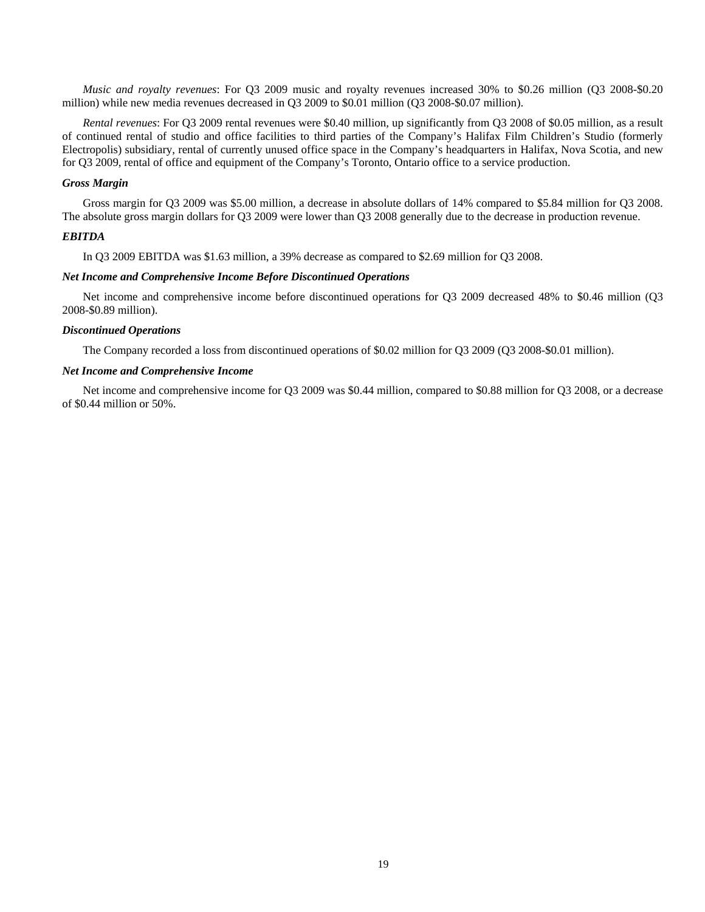*Music and royalty revenues*: For Q3 2009 music and royalty revenues increased 30% to \$0.26 million (Q3 2008-\$0.20 million) while new media revenues decreased in Q3 2009 to \$0.01 million (Q3 2008-\$0.07 million).

*Rental revenues*: For Q3 2009 rental revenues were \$0.40 million, up significantly from Q3 2008 of \$0.05 million, as a result of continued rental of studio and office facilities to third parties of the Company's Halifax Film Children's Studio (formerly Electropolis) subsidiary, rental of currently unused office space in the Company's headquarters in Halifax, Nova Scotia, and new for Q3 2009, rental of office and equipment of the Company's Toronto, Ontario office to a service production.

## *Gross Margin*

Gross margin for Q3 2009 was \$5.00 million, a decrease in absolute dollars of 14% compared to \$5.84 million for Q3 2008. The absolute gross margin dollars for Q3 2009 were lower than Q3 2008 generally due to the decrease in production revenue.

## *EBITDA*

In Q3 2009 EBITDA was \$1.63 million, a 39% decrease as compared to \$2.69 million for Q3 2008.

## *Net Income and Comprehensive Income Before Discontinued Operations*

Net income and comprehensive income before discontinued operations for Q3 2009 decreased 48% to \$0.46 million (Q3 2008-\$0.89 million).

## *Discontinued Operations*

The Company recorded a loss from discontinued operations of \$0.02 million for Q3 2009 (Q3 2008-\$0.01 million).

## *Net Income and Comprehensive Income*

Net income and comprehensive income for Q3 2009 was \$0.44 million, compared to \$0.88 million for Q3 2008, or a decrease of \$0.44 million or 50%.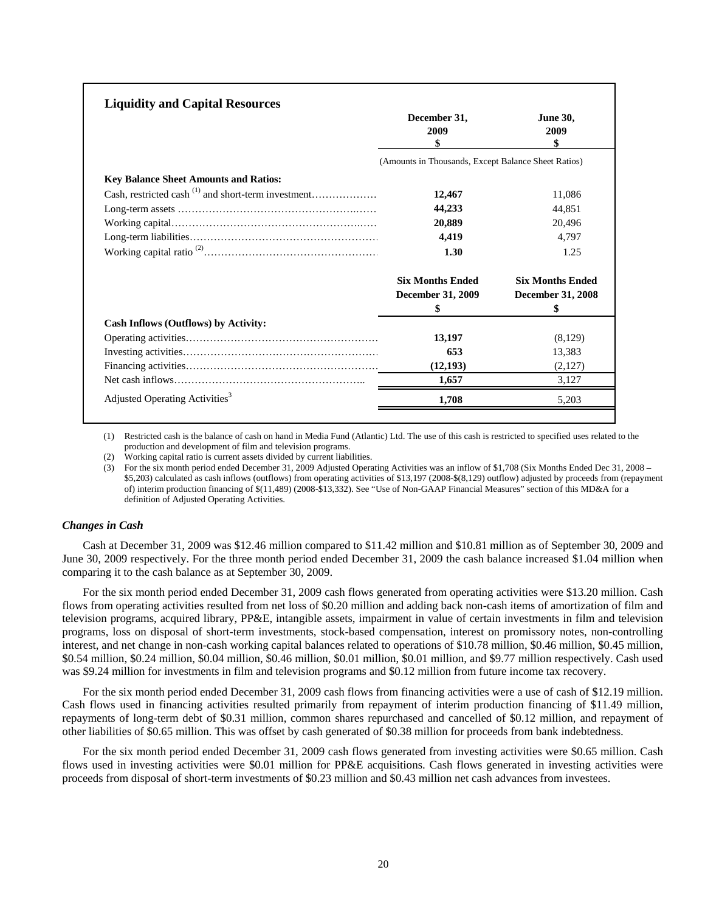| <b>Liquidity and Capital Resources</b>                   |                                                     |                               |
|----------------------------------------------------------|-----------------------------------------------------|-------------------------------|
|                                                          | December 31,<br>2009<br>\$                          | <b>June 30,</b><br>2009<br>\$ |
|                                                          | (Amounts in Thousands, Except Balance Sheet Ratios) |                               |
| <b>Key Balance Sheet Amounts and Ratios:</b>             |                                                     |                               |
| Cash, restricted cash $^{(1)}$ and short-term investment | 12,467                                              | 11.086                        |
|                                                          | 44,233                                              | 44.851                        |
|                                                          | 20,889                                              | 20.496                        |
|                                                          | 4,419                                               | 4.797                         |
|                                                          | 1.30                                                | 1.25                          |
|                                                          | <b>Six Months Ended</b>                             | <b>Six Months Ended</b>       |
|                                                          | <b>December 31, 2009</b>                            | December 31, 2008             |
|                                                          | \$                                                  | \$                            |
| Cash Inflows (Outflows) by Activity:                     |                                                     |                               |
|                                                          | 13,197                                              | (8,129)                       |
|                                                          | 653                                                 | 13,383                        |
|                                                          | (12, 193)                                           | (2,127)                       |
|                                                          | 1,657                                               | 3,127                         |
| Adjusted Operating Activities <sup>3</sup>               | 1,708                                               | 5.203                         |
|                                                          |                                                     |                               |

(1) Restricted cash is the balance of cash on hand in Media Fund (Atlantic) Ltd. The use of this cash is restricted to specified uses related to the production and development of film and television programs.

(2) Working capital ratio is current assets divided by current liabilities.

(3) For the six month period ended December 31, 2009 Adjusted Operating Activities was an inflow of \$1,708 (Six Months Ended Dec 31, 2008 – \$5,203) calculated as cash inflows (outflows) from operating activities of \$13,197 (2008-\$(8,129) outflow) adjusted by proceeds from (repayment of) interim production financing of \$(11,489) (2008-\$13,332). See "Use of Non-GAAP Financial Measures" section of this MD&A for a definition of Adjusted Operating Activities.

## *Changes in Cash*

Cash at December 31, 2009 was \$12.46 million compared to \$11.42 million and \$10.81 million as of September 30, 2009 and June 30, 2009 respectively. For the three month period ended December 31, 2009 the cash balance increased \$1.04 million when comparing it to the cash balance as at September 30, 2009.

For the six month period ended December 31, 2009 cash flows generated from operating activities were \$13.20 million. Cash flows from operating activities resulted from net loss of \$0.20 million and adding back non-cash items of amortization of film and television programs, acquired library, PP&E, intangible assets, impairment in value of certain investments in film and television programs, loss on disposal of short-term investments, stock-based compensation, interest on promissory notes, non-controlling interest, and net change in non-cash working capital balances related to operations of \$10.78 million, \$0.46 million, \$0.45 million, \$0.54 million, \$0.24 million, \$0.04 million, \$0.46 million, \$0.01 million, \$0.01 million, and \$9.77 million respectively. Cash used was \$9.24 million for investments in film and television programs and \$0.12 million from future income tax recovery.

For the six month period ended December 31, 2009 cash flows from financing activities were a use of cash of \$12.19 million. Cash flows used in financing activities resulted primarily from repayment of interim production financing of \$11.49 million, repayments of long-term debt of \$0.31 million, common shares repurchased and cancelled of \$0.12 million, and repayment of other liabilities of \$0.65 million. This was offset by cash generated of \$0.38 million for proceeds from bank indebtedness.

For the six month period ended December 31, 2009 cash flows generated from investing activities were \$0.65 million. Cash flows used in investing activities were \$0.01 million for PP&E acquisitions. Cash flows generated in investing activities were proceeds from disposal of short-term investments of \$0.23 million and \$0.43 million net cash advances from investees.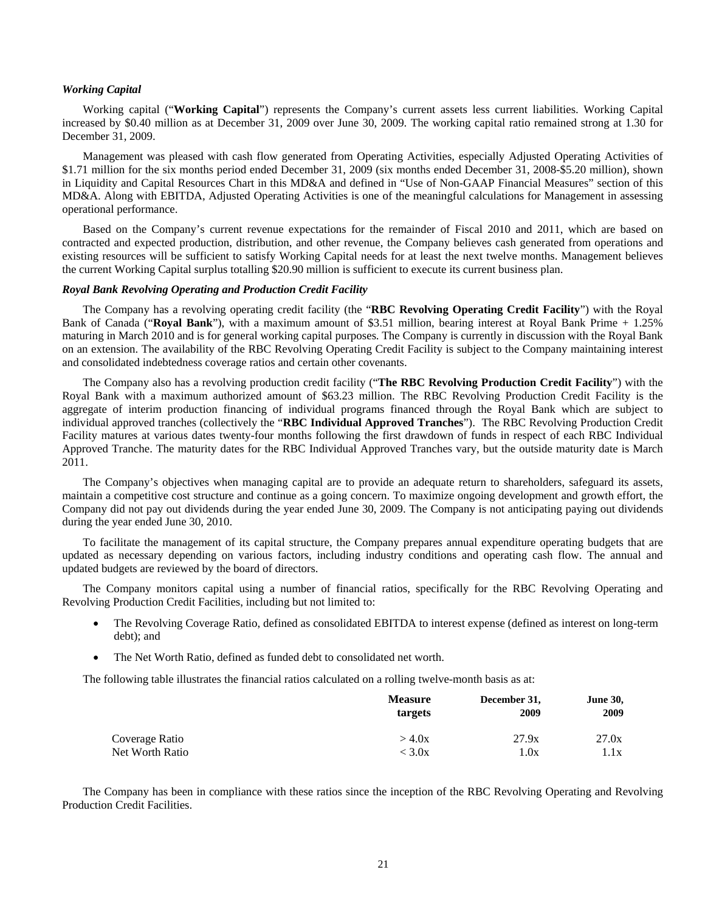## *Working Capital*

Working capital ("**Working Capital**") represents the Company's current assets less current liabilities. Working Capital increased by \$0.40 million as at December 31, 2009 over June 30, 2009. The working capital ratio remained strong at 1.30 for December 31, 2009.

Management was pleased with cash flow generated from Operating Activities, especially Adjusted Operating Activities of \$1.71 million for the six months period ended December 31, 2009 (six months ended December 31, 2008-\$5.20 million), shown in Liquidity and Capital Resources Chart in this MD&A and defined in "Use of Non-GAAP Financial Measures" section of this MD&A. Along with EBITDA, Adjusted Operating Activities is one of the meaningful calculations for Management in assessing operational performance.

Based on the Company's current revenue expectations for the remainder of Fiscal 2010 and 2011, which are based on contracted and expected production, distribution, and other revenue, the Company believes cash generated from operations and existing resources will be sufficient to satisfy Working Capital needs for at least the next twelve months. Management believes the current Working Capital surplus totalling \$20.90 million is sufficient to execute its current business plan.

## *Royal Bank Revolving Operating and Production Credit Facility*

The Company has a revolving operating credit facility (the "**RBC Revolving Operating Credit Facility**") with the Royal Bank of Canada ("**Royal Bank**"), with a maximum amount of \$3.51 million, bearing interest at Royal Bank Prime + 1.25% maturing in March 2010 and is for general working capital purposes. The Company is currently in discussion with the Royal Bank on an extension. The availability of the RBC Revolving Operating Credit Facility is subject to the Company maintaining interest and consolidated indebtedness coverage ratios and certain other covenants.

The Company also has a revolving production credit facility ("**The RBC Revolving Production Credit Facility**") with the Royal Bank with a maximum authorized amount of \$63.23 million. The RBC Revolving Production Credit Facility is the aggregate of interim production financing of individual programs financed through the Royal Bank which are subject to individual approved tranches (collectively the "**RBC Individual Approved Tranches**"). The RBC Revolving Production Credit Facility matures at various dates twenty-four months following the first drawdown of funds in respect of each RBC Individual Approved Tranche. The maturity dates for the RBC Individual Approved Tranches vary, but the outside maturity date is March 2011.

The Company's objectives when managing capital are to provide an adequate return to shareholders, safeguard its assets, maintain a competitive cost structure and continue as a going concern. To maximize ongoing development and growth effort, the Company did not pay out dividends during the year ended June 30, 2009. The Company is not anticipating paying out dividends during the year ended June 30, 2010.

To facilitate the management of its capital structure, the Company prepares annual expenditure operating budgets that are updated as necessary depending on various factors, including industry conditions and operating cash flow. The annual and updated budgets are reviewed by the board of directors.

The Company monitors capital using a number of financial ratios, specifically for the RBC Revolving Operating and Revolving Production Credit Facilities, including but not limited to:

- The Revolving Coverage Ratio, defined as consolidated EBITDA to interest expense (defined as interest on long-term debt); and
- The Net Worth Ratio, defined as funded debt to consolidated net worth.

The following table illustrates the financial ratios calculated on a rolling twelve-month basis as at:

|                 | <b>Measure</b><br>targets | December 31,<br>2009 | <b>June 30,</b><br>2009 |
|-----------------|---------------------------|----------------------|-------------------------|
| Coverage Ratio  | $>$ 4.0x                  | 27.9x                | 27.0x                   |
| Net Worth Ratio | $<$ 3.0x $\,$             | 1.0x                 | 1.1x                    |

The Company has been in compliance with these ratios since the inception of the RBC Revolving Operating and Revolving Production Credit Facilities.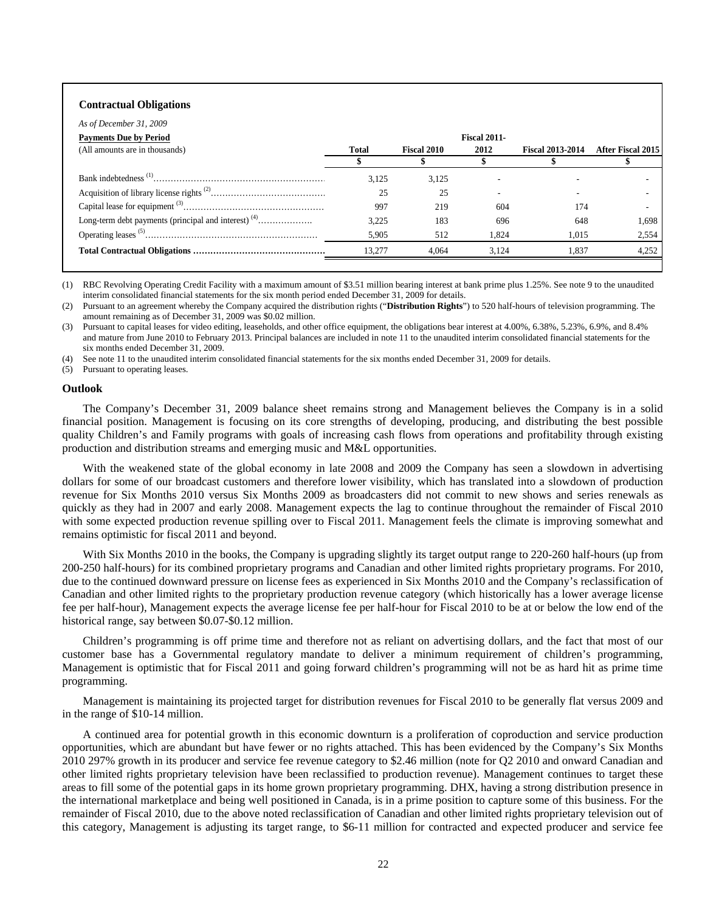## **Contractual Obligations**

| As of December 31, 2009        |              |                    |                     |                         |                   |
|--------------------------------|--------------|--------------------|---------------------|-------------------------|-------------------|
| <b>Payments Due by Period</b>  |              |                    | <b>Fiscal 2011-</b> |                         |                   |
| (All amounts are in thousands) | <b>Total</b> | <b>Fiscal 2010</b> | 2012                | <b>Fiscal 2013-2014</b> | After Fiscal 2015 |
|                                |              |                    |                     |                         |                   |
|                                | 3.125        | 3,125              |                     |                         |                   |
|                                | 25           | 25                 |                     |                         |                   |
|                                | 997          | 219                | 604                 | 174                     |                   |
|                                | 3.225        | 183                | 696                 | 648                     | 1.698             |
|                                | 5,905        | 512                | 1.824               | 1.015                   | 2,554             |
|                                | 13.277       | 4.064              | 3.124               | 1.837                   | 4,252             |
|                                |              |                    |                     |                         |                   |

(1) RBC Revolving Operating Credit Facility with a maximum amount of \$3.51 million bearing interest at bank prime plus 1.25%. See note 9 to the unaudited interim consolidated financial statements for the six month period ended December 31, 2009 for details.

(2) Pursuant to an agreement whereby the Company acquired the distribution rights ("**Distribution Rights**") to 520 half-hours of television programming. The amount remaining as of December 31, 2009 was \$0.02 million.

(3) Pursuant to capital leases for video editing, leaseholds, and other office equipment, the obligations bear interest at 4.00%, 6.38%, 5.23%, 6.9%, and 8.4% and mature from June 2010 to February 2013. Principal balances are included in note 11 to the unaudited interim consolidated financial statements for the six months ended December 31, 2009.

See note 11 to the unaudited interim consolidated financial statements for the six months ended December 31, 2009 for details.

(5) Pursuant to operating leases.

#### **Outlook**

The Company's December 31, 2009 balance sheet remains strong and Management believes the Company is in a solid financial position. Management is focusing on its core strengths of developing, producing, and distributing the best possible quality Children's and Family programs with goals of increasing cash flows from operations and profitability through existing production and distribution streams and emerging music and M&L opportunities.

With the weakened state of the global economy in late 2008 and 2009 the Company has seen a slowdown in advertising dollars for some of our broadcast customers and therefore lower visibility, which has translated into a slowdown of production revenue for Six Months 2010 versus Six Months 2009 as broadcasters did not commit to new shows and series renewals as quickly as they had in 2007 and early 2008. Management expects the lag to continue throughout the remainder of Fiscal 2010 with some expected production revenue spilling over to Fiscal 2011. Management feels the climate is improving somewhat and remains optimistic for fiscal 2011 and beyond.

With Six Months 2010 in the books, the Company is upgrading slightly its target output range to 220-260 half-hours (up from 200-250 half-hours) for its combined proprietary programs and Canadian and other limited rights proprietary programs. For 2010, due to the continued downward pressure on license fees as experienced in Six Months 2010 and the Company's reclassification of Canadian and other limited rights to the proprietary production revenue category (which historically has a lower average license fee per half-hour), Management expects the average license fee per half-hour for Fiscal 2010 to be at or below the low end of the historical range, say between \$0.07-\$0.12 million.

Children's programming is off prime time and therefore not as reliant on advertising dollars, and the fact that most of our customer base has a Governmental regulatory mandate to deliver a minimum requirement of children's programming, Management is optimistic that for Fiscal 2011 and going forward children's programming will not be as hard hit as prime time programming.

Management is maintaining its projected target for distribution revenues for Fiscal 2010 to be generally flat versus 2009 and in the range of \$10-14 million.

A continued area for potential growth in this economic downturn is a proliferation of coproduction and service production opportunities, which are abundant but have fewer or no rights attached. This has been evidenced by the Company's Six Months 2010 297% growth in its producer and service fee revenue category to \$2.46 million (note for Q2 2010 and onward Canadian and other limited rights proprietary television have been reclassified to production revenue). Management continues to target these areas to fill some of the potential gaps in its home grown proprietary programming. DHX, having a strong distribution presence in the international marketplace and being well positioned in Canada, is in a prime position to capture some of this business. For the remainder of Fiscal 2010, due to the above noted reclassification of Canadian and other limited rights proprietary television out of this category, Management is adjusting its target range, to \$6-11 million for contracted and expected producer and service fee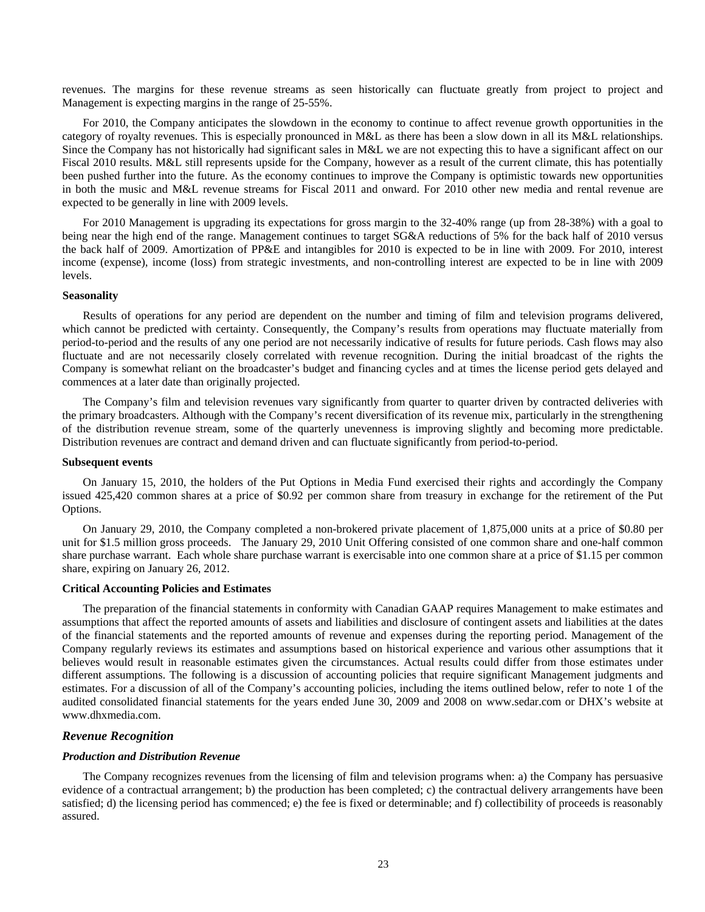revenues. The margins for these revenue streams as seen historically can fluctuate greatly from project to project and Management is expecting margins in the range of 25-55%.

For 2010, the Company anticipates the slowdown in the economy to continue to affect revenue growth opportunities in the category of royalty revenues. This is especially pronounced in M&L as there has been a slow down in all its M&L relationships. Since the Company has not historically had significant sales in M&L we are not expecting this to have a significant affect on our Fiscal 2010 results. M&L still represents upside for the Company, however as a result of the current climate, this has potentially been pushed further into the future. As the economy continues to improve the Company is optimistic towards new opportunities in both the music and M&L revenue streams for Fiscal 2011 and onward. For 2010 other new media and rental revenue are expected to be generally in line with 2009 levels.

For 2010 Management is upgrading its expectations for gross margin to the 32-40% range (up from 28-38%) with a goal to being near the high end of the range. Management continues to target SG&A reductions of 5% for the back half of 2010 versus the back half of 2009. Amortization of PP&E and intangibles for 2010 is expected to be in line with 2009. For 2010, interest income (expense), income (loss) from strategic investments, and non-controlling interest are expected to be in line with 2009 levels.

#### **Seasonality**

Results of operations for any period are dependent on the number and timing of film and television programs delivered, which cannot be predicted with certainty. Consequently, the Company's results from operations may fluctuate materially from period-to-period and the results of any one period are not necessarily indicative of results for future periods. Cash flows may also fluctuate and are not necessarily closely correlated with revenue recognition. During the initial broadcast of the rights the Company is somewhat reliant on the broadcaster's budget and financing cycles and at times the license period gets delayed and commences at a later date than originally projected.

The Company's film and television revenues vary significantly from quarter to quarter driven by contracted deliveries with the primary broadcasters. Although with the Company's recent diversification of its revenue mix, particularly in the strengthening of the distribution revenue stream, some of the quarterly unevenness is improving slightly and becoming more predictable. Distribution revenues are contract and demand driven and can fluctuate significantly from period-to-period.

## **Subsequent events**

On January 15, 2010, the holders of the Put Options in Media Fund exercised their rights and accordingly the Company issued 425,420 common shares at a price of \$0.92 per common share from treasury in exchange for the retirement of the Put Options.

On January 29, 2010, the Company completed a non-brokered private placement of 1,875,000 units at a price of \$0.80 per unit for \$1.5 million gross proceeds. The January 29, 2010 Unit Offering consisted of one common share and one-half common share purchase warrant. Each whole share purchase warrant is exercisable into one common share at a price of \$1.15 per common share, expiring on January 26, 2012.

## **Critical Accounting Policies and Estimates**

The preparation of the financial statements in conformity with Canadian GAAP requires Management to make estimates and assumptions that affect the reported amounts of assets and liabilities and disclosure of contingent assets and liabilities at the dates of the financial statements and the reported amounts of revenue and expenses during the reporting period. Management of the Company regularly reviews its estimates and assumptions based on historical experience and various other assumptions that it believes would result in reasonable estimates given the circumstances. Actual results could differ from those estimates under different assumptions. The following is a discussion of accounting policies that require significant Management judgments and estimates. For a discussion of all of the Company's accounting policies, including the items outlined below, refer to note 1 of the audited consolidated financial statements for the years ended June 30, 2009 and 2008 on www.sedar.com or DHX's website at [www.dhxmedia.com](http://www.dhxmedia.com/).

## *Revenue Recognition*

## *Production and Distribution Revenue*

The Company recognizes revenues from the licensing of film and television programs when: a) the Company has persuasive evidence of a contractual arrangement; b) the production has been completed; c) the contractual delivery arrangements have been satisfied; d) the licensing period has commenced; e) the fee is fixed or determinable; and f) collectibility of proceeds is reasonably assured.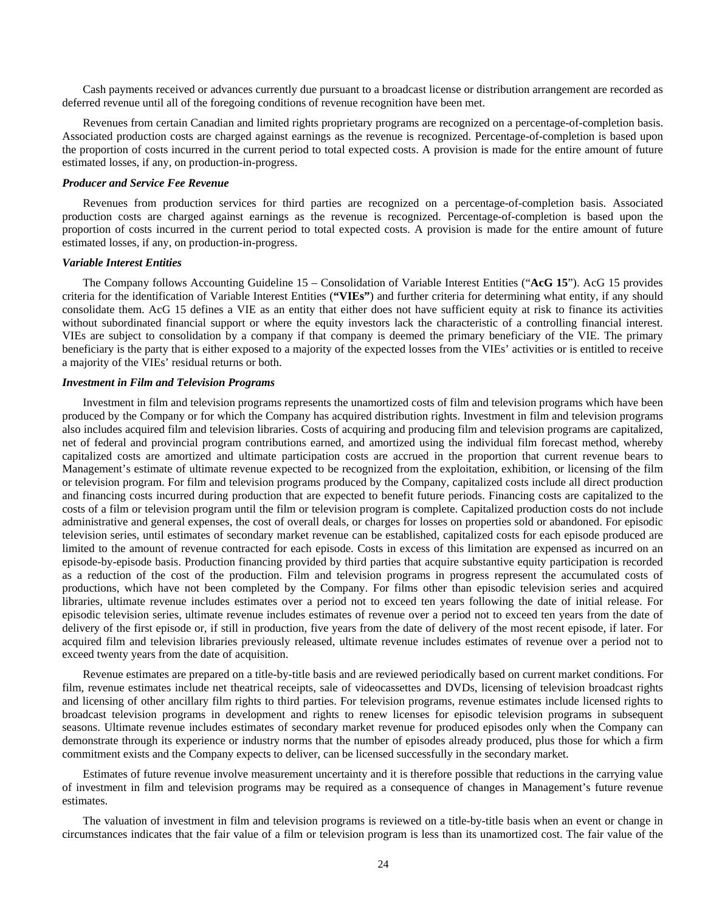Cash payments received or advances currently due pursuant to a broadcast license or distribution arrangement are recorded as deferred revenue until all of the foregoing conditions of revenue recognition have been met.

Revenues from certain Canadian and limited rights proprietary programs are recognized on a percentage-of-completion basis. Associated production costs are charged against earnings as the revenue is recognized. Percentage-of-completion is based upon the proportion of costs incurred in the current period to total expected costs. A provision is made for the entire amount of future estimated losses, if any, on production-in-progress.

## *Producer and Service Fee Revenue*

Revenues from production services for third parties are recognized on a percentage-of-completion basis. Associated production costs are charged against earnings as the revenue is recognized. Percentage-of-completion is based upon the proportion of costs incurred in the current period to total expected costs. A provision is made for the entire amount of future estimated losses, if any, on production-in-progress.

#### *Variable Interest Entities*

The Company follows Accounting Guideline 15 – Consolidation of Variable Interest Entities ("**AcG 15**"). AcG 15 provides criteria for the identification of Variable Interest Entities (**"VIEs"**) and further criteria for determining what entity, if any should consolidate them. AcG 15 defines a VIE as an entity that either does not have sufficient equity at risk to finance its activities without subordinated financial support or where the equity investors lack the characteristic of a controlling financial interest. VIEs are subject to consolidation by a company if that company is deemed the primary beneficiary of the VIE. The primary beneficiary is the party that is either exposed to a majority of the expected losses from the VIEs' activities or is entitled to receive a majority of the VIEs' residual returns or both.

## *Investment in Film and Television Programs*

Investment in film and television programs represents the unamortized costs of film and television programs which have been produced by the Company or for which the Company has acquired distribution rights. Investment in film and television programs also includes acquired film and television libraries. Costs of acquiring and producing film and television programs are capitalized, net of federal and provincial program contributions earned, and amortized using the individual film forecast method, whereby capitalized costs are amortized and ultimate participation costs are accrued in the proportion that current revenue bears to Management's estimate of ultimate revenue expected to be recognized from the exploitation, exhibition, or licensing of the film or television program. For film and television programs produced by the Company, capitalized costs include all direct production and financing costs incurred during production that are expected to benefit future periods. Financing costs are capitalized to the costs of a film or television program until the film or television program is complete. Capitalized production costs do not include administrative and general expenses, the cost of overall deals, or charges for losses on properties sold or abandoned. For episodic television series, until estimates of secondary market revenue can be established, capitalized costs for each episode produced are limited to the amount of revenue contracted for each episode. Costs in excess of this limitation are expensed as incurred on an episode-by-episode basis. Production financing provided by third parties that acquire substantive equity participation is recorded as a reduction of the cost of the production. Film and television programs in progress represent the accumulated costs of productions, which have not been completed by the Company. For films other than episodic television series and acquired libraries, ultimate revenue includes estimates over a period not to exceed ten years following the date of initial release. For episodic television series, ultimate revenue includes estimates of revenue over a period not to exceed ten years from the date of delivery of the first episode or, if still in production, five years from the date of delivery of the most recent episode, if later. For acquired film and television libraries previously released, ultimate revenue includes estimates of revenue over a period not to exceed twenty years from the date of acquisition.

Revenue estimates are prepared on a title-by-title basis and are reviewed periodically based on current market conditions. For film, revenue estimates include net theatrical receipts, sale of videocassettes and DVDs, licensing of television broadcast rights and licensing of other ancillary film rights to third parties. For television programs, revenue estimates include licensed rights to broadcast television programs in development and rights to renew licenses for episodic television programs in subsequent seasons. Ultimate revenue includes estimates of secondary market revenue for produced episodes only when the Company can demonstrate through its experience or industry norms that the number of episodes already produced, plus those for which a firm commitment exists and the Company expects to deliver, can be licensed successfully in the secondary market.

Estimates of future revenue involve measurement uncertainty and it is therefore possible that reductions in the carrying value of investment in film and television programs may be required as a consequence of changes in Management's future revenue estimates.

The valuation of investment in film and television programs is reviewed on a title-by-title basis when an event or change in circumstances indicates that the fair value of a film or television program is less than its unamortized cost. The fair value of the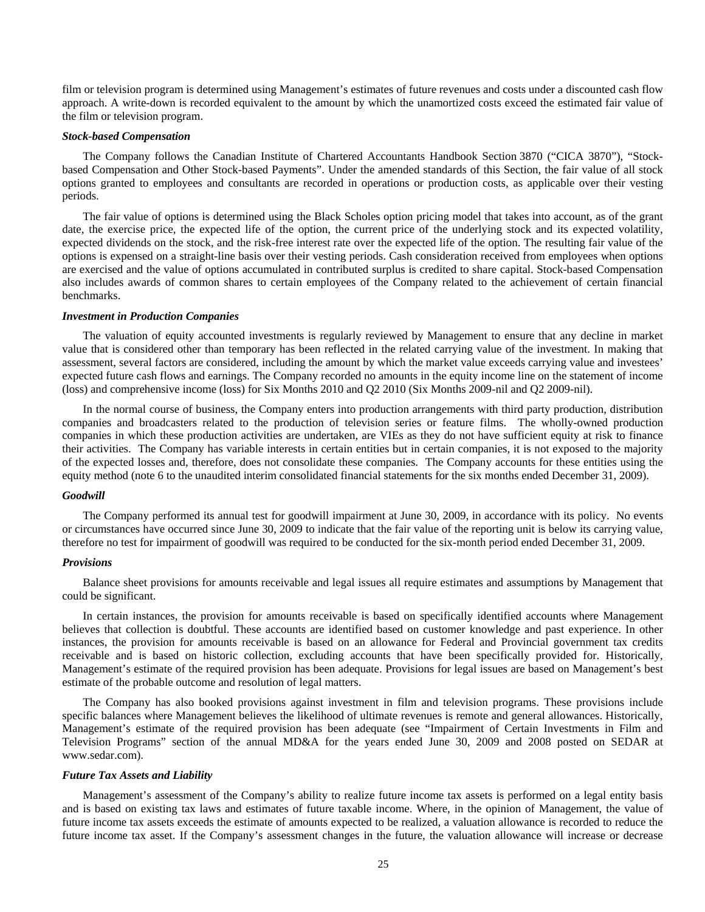film or television program is determined using Management's estimates of future revenues and costs under a discounted cash flow approach. A write-down is recorded equivalent to the amount by which the unamortized costs exceed the estimated fair value of the film or television program.

## *Stock-based Compensation*

The Company follows the Canadian Institute of Chartered Accountants Handbook Section 3870 ("CICA 3870"), "Stockbased Compensation and Other Stock-based Payments". Under the amended standards of this Section, the fair value of all stock options granted to employees and consultants are recorded in operations or production costs, as applicable over their vesting periods.

The fair value of options is determined using the Black Scholes option pricing model that takes into account, as of the grant date, the exercise price, the expected life of the option, the current price of the underlying stock and its expected volatility, expected dividends on the stock, and the risk-free interest rate over the expected life of the option. The resulting fair value of the options is expensed on a straight-line basis over their vesting periods. Cash consideration received from employees when options are exercised and the value of options accumulated in contributed surplus is credited to share capital. Stock-based Compensation also includes awards of common shares to certain employees of the Company related to the achievement of certain financial benchmarks.

## *Investment in Production Companies*

The valuation of equity accounted investments is regularly reviewed by Management to ensure that any decline in market value that is considered other than temporary has been reflected in the related carrying value of the investment. In making that assessment, several factors are considered, including the amount by which the market value exceeds carrying value and investees' expected future cash flows and earnings. The Company recorded no amounts in the equity income line on the statement of income (loss) and comprehensive income (loss) for Six Months 2010 and Q2 2010 (Six Months 2009-nil and Q2 2009-nil).

In the normal course of business, the Company enters into production arrangements with third party production, distribution companies and broadcasters related to the production of television series or feature films. The wholly-owned production companies in which these production activities are undertaken, are VIEs as they do not have sufficient equity at risk to finance their activities. The Company has variable interests in certain entities but in certain companies, it is not exposed to the majority of the expected losses and, therefore, does not consolidate these companies. The Company accounts for these entities using the equity method (note 6 to the unaudited interim consolidated financial statements for the six months ended December 31, 2009).

## *Goodwill*

The Company performed its annual test for goodwill impairment at June 30, 2009, in accordance with its policy. No events or circumstances have occurred since June 30, 2009 to indicate that the fair value of the reporting unit is below its carrying value, therefore no test for impairment of goodwill was required to be conducted for the six-month period ended December 31, 2009.

## *Provisions*

Balance sheet provisions for amounts receivable and legal issues all require estimates and assumptions by Management that could be significant.

In certain instances, the provision for amounts receivable is based on specifically identified accounts where Management believes that collection is doubtful. These accounts are identified based on customer knowledge and past experience. In other instances, the provision for amounts receivable is based on an allowance for Federal and Provincial government tax credits receivable and is based on historic collection, excluding accounts that have been specifically provided for. Historically, Management's estimate of the required provision has been adequate. Provisions for legal issues are based on Management's best estimate of the probable outcome and resolution of legal matters.

The Company has also booked provisions against investment in film and television programs. These provisions include specific balances where Management believes the likelihood of ultimate revenues is remote and general allowances. Historically, Management's estimate of the required provision has been adequate (see "Impairment of Certain Investments in Film and Television Programs" section of the annual MD&A for the years ended June 30, 2009 and 2008 posted on SEDAR at www.sedar.com).

#### *Future Tax Assets and Liability*

Management's assessment of the Company's ability to realize future income tax assets is performed on a legal entity basis and is based on existing tax laws and estimates of future taxable income. Where, in the opinion of Management, the value of future income tax assets exceeds the estimate of amounts expected to be realized, a valuation allowance is recorded to reduce the future income tax asset. If the Company's assessment changes in the future, the valuation allowance will increase or decrease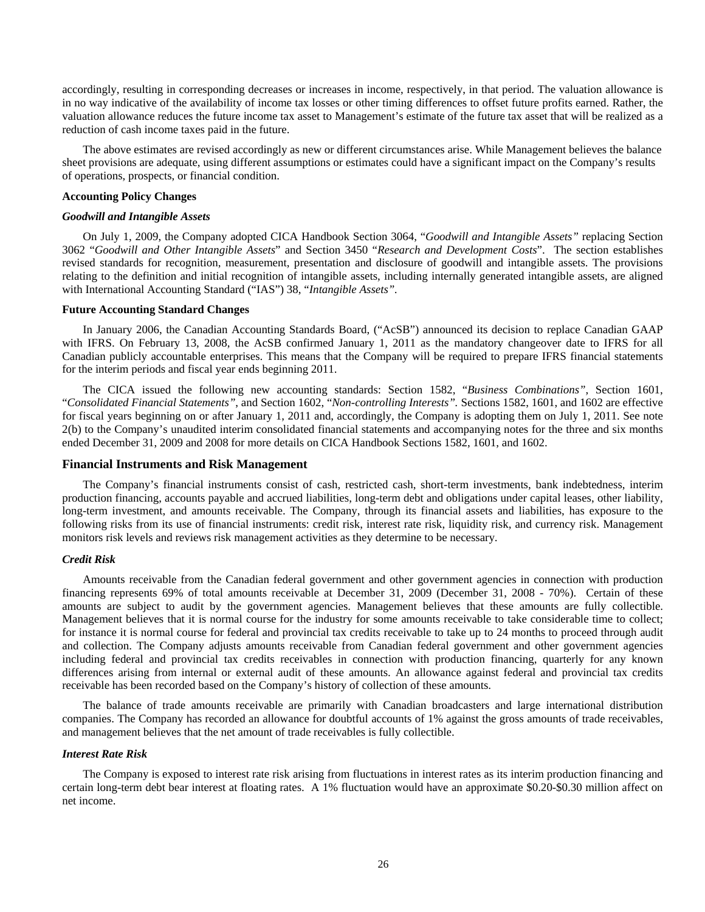accordingly, resulting in corresponding decreases or increases in income, respectively, in that period. The valuation allowance is in no way indicative of the availability of income tax losses or other timing differences to offset future profits earned. Rather, the valuation allowance reduces the future income tax asset to Management's estimate of the future tax asset that will be realized as a reduction of cash income taxes paid in the future.

The above estimates are revised accordingly as new or different circumstances arise. While Management believes the balance sheet provisions are adequate, using different assumptions or estimates could have a significant impact on the Company's results of operations, prospects, or financial condition.

## **Accounting Policy Changes**

#### *Goodwill and Intangible Assets*

On July 1, 2009, the Company adopted CICA Handbook Section 3064, "*Goodwill and Intangible Assets"* replacing Section 3062 "*Goodwill and Other Intangible Assets*" and Section 3450 "*Research and Development Costs*". The section establishes revised standards for recognition, measurement, presentation and disclosure of goodwill and intangible assets. The provisions relating to the definition and initial recognition of intangible assets, including internally generated intangible assets, are aligned with International Accounting Standard ("IAS") 38, "*Intangible Assets".* 

## **Future Accounting Standard Changes**

In January 2006, the Canadian Accounting Standards Board, ("AcSB") announced its decision to replace Canadian GAAP with IFRS. On February 13, 2008, the AcSB confirmed January 1, 2011 as the mandatory changeover date to IFRS for all Canadian publicly accountable enterprises. This means that the Company will be required to prepare IFRS financial statements for the interim periods and fiscal year ends beginning 2011.

The CICA issued the following new accounting standards: Section 1582, "*Business Combinations"*, Section 1601, "*Consolidated Financial Statements"*, and Section 1602, "*Non-controlling Interests".* Sections 1582, 1601, and 1602 are effective for fiscal years beginning on or after January 1, 2011 and, accordingly, the Company is adopting them on July 1, 2011. See note 2(b) to the Company's unaudited interim consolidated financial statements and accompanying notes for the three and six months ended December 31, 2009 and 2008 for more details on CICA Handbook Sections 1582, 1601, and 1602.

## **Financial Instruments and Risk Management**

The Company's financial instruments consist of cash, restricted cash, short-term investments, bank indebtedness, interim production financing, accounts payable and accrued liabilities, long-term debt and obligations under capital leases, other liability, long-term investment, and amounts receivable. The Company, through its financial assets and liabilities, has exposure to the following risks from its use of financial instruments: credit risk, interest rate risk, liquidity risk, and currency risk. Management monitors risk levels and reviews risk management activities as they determine to be necessary.

## *Credit Risk*

Amounts receivable from the Canadian federal government and other government agencies in connection with production financing represents 69% of total amounts receivable at December 31, 2009 (December 31, 2008 - 70%). Certain of these amounts are subject to audit by the government agencies. Management believes that these amounts are fully collectible. Management believes that it is normal course for the industry for some amounts receivable to take considerable time to collect; for instance it is normal course for federal and provincial tax credits receivable to take up to 24 months to proceed through audit and collection. The Company adjusts amounts receivable from Canadian federal government and other government agencies including federal and provincial tax credits receivables in connection with production financing, quarterly for any known differences arising from internal or external audit of these amounts. An allowance against federal and provincial tax credits receivable has been recorded based on the Company's history of collection of these amounts.

The balance of trade amounts receivable are primarily with Canadian broadcasters and large international distribution companies. The Company has recorded an allowance for doubtful accounts of 1% against the gross amounts of trade receivables, and management believes that the net amount of trade receivables is fully collectible.

## *Interest Rate Risk*

The Company is exposed to interest rate risk arising from fluctuations in interest rates as its interim production financing and certain long-term debt bear interest at floating rates. A 1% fluctuation would have an approximate \$0.20-\$0.30 million affect on net income.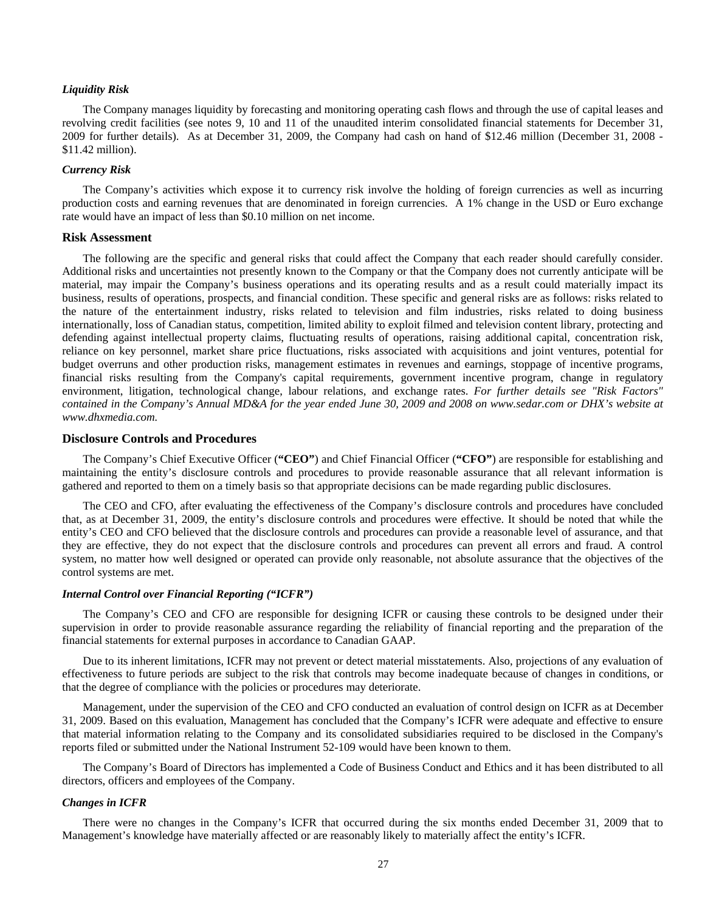## *Liquidity Risk*

The Company manages liquidity by forecasting and monitoring operating cash flows and through the use of capital leases and revolving credit facilities (see notes 9, 10 and 11 of the unaudited interim consolidated financial statements for December 31, 2009 for further details). As at December 31, 2009, the Company had cash on hand of \$12.46 million (December 31, 2008 - \$11.42 million).

## *Currency Risk*

The Company's activities which expose it to currency risk involve the holding of foreign currencies as well as incurring production costs and earning revenues that are denominated in foreign currencies. A 1% change in the USD or Euro exchange rate would have an impact of less than \$0.10 million on net income.

#### **Risk Assessment**

The following are the specific and general risks that could affect the Company that each reader should carefully consider. Additional risks and uncertainties not presently known to the Company or that the Company does not currently anticipate will be material, may impair the Company's business operations and its operating results and as a result could materially impact its business, results of operations, prospects, and financial condition. These specific and general risks are as follows: risks related to the nature of the entertainment industry, risks related to television and film industries, risks related to doing business internationally, loss of Canadian status, competition, limited ability to exploit filmed and television content library, protecting and defending against intellectual property claims, fluctuating results of operations, raising additional capital, concentration risk, reliance on key personnel, market share price fluctuations, risks associated with acquisitions and joint ventures, potential for budget overruns and other production risks, management estimates in revenues and earnings, stoppage of incentive programs, financial risks resulting from the Company's capital requirements, government incentive program, change in regulatory environment, litigation, technological change, labour relations, and exchange rates. *For further details see "Risk Factors" contained in the Company's Annual MD&A for the year ended June 30, 2009 and 2008 on [www.sedar.com](http://www.dhxmedia.com/) or DHX's website at www.dhxmedia.com[.](http://www.dhxmedia.com/)* 

## **Disclosure Controls and Procedures**

The Company's Chief Executive Officer (**"CEO"**) and Chief Financial Officer (**"CFO"**) are responsible for establishing and maintaining the entity's disclosure controls and procedures to provide reasonable assurance that all relevant information is gathered and reported to them on a timely basis so that appropriate decisions can be made regarding public disclosures.

The CEO and CFO, after evaluating the effectiveness of the Company's disclosure controls and procedures have concluded that, as at December 31, 2009, the entity's disclosure controls and procedures were effective. It should be noted that while the entity's CEO and CFO believed that the disclosure controls and procedures can provide a reasonable level of assurance, and that they are effective, they do not expect that the disclosure controls and procedures can prevent all errors and fraud. A control system, no matter how well designed or operated can provide only reasonable, not absolute assurance that the objectives of the control systems are met.

## *Internal Control over Financial Reporting ("ICFR")*

The Company's CEO and CFO are responsible for designing ICFR or causing these controls to be designed under their supervision in order to provide reasonable assurance regarding the reliability of financial reporting and the preparation of the financial statements for external purposes in accordance to Canadian GAAP.

Due to its inherent limitations, ICFR may not prevent or detect material misstatements. Also, projections of any evaluation of effectiveness to future periods are subject to the risk that controls may become inadequate because of changes in conditions, or that the degree of compliance with the policies or procedures may deteriorate.

Management, under the supervision of the CEO and CFO conducted an evaluation of control design on ICFR as at December 31, 2009. Based on this evaluation, Management has concluded that the Company's ICFR were adequate and effective to ensure that material information relating to the Company and its consolidated subsidiaries required to be disclosed in the Company's reports filed or submitted under the National Instrument 52-109 would have been known to them.

The Company's Board of Directors has implemented a Code of Business Conduct and Ethics and it has been distributed to all directors, officers and employees of the Company.

#### *Changes in ICFR*

There were no changes in the Company's ICFR that occurred during the six months ended December 31, 2009 that to Management's knowledge have materially affected or are reasonably likely to materially affect the entity's ICFR.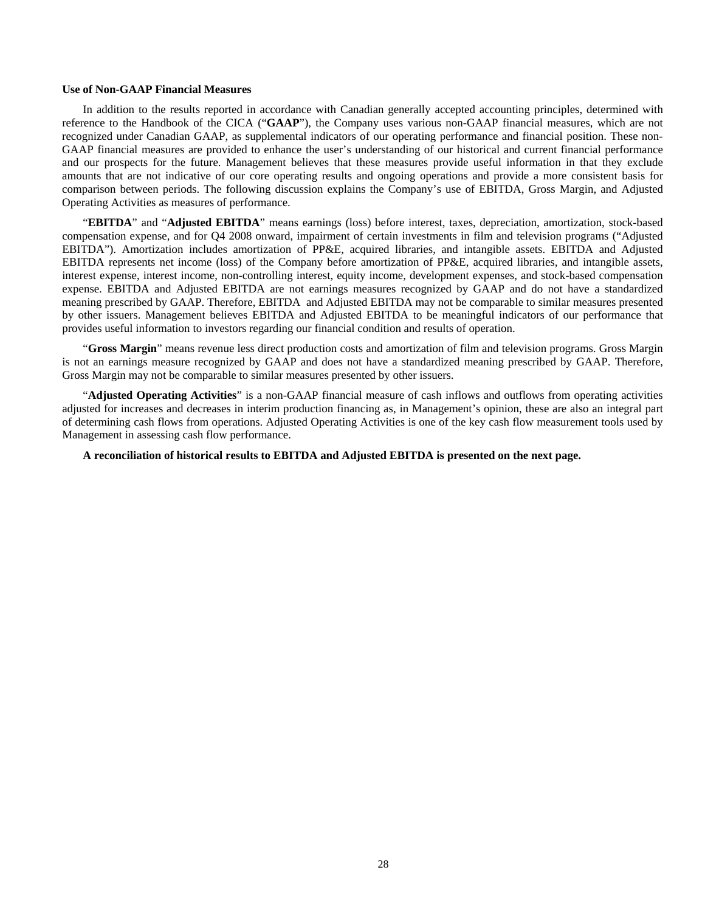## **Use of Non-GAAP Financial Measures**

In addition to the results reported in accordance with Canadian generally accepted accounting principles, determined with reference to the Handbook of the CICA ("**GAAP**"), the Company uses various non-GAAP financial measures, which are not recognized under Canadian GAAP, as supplemental indicators of our operating performance and financial position. These non-GAAP financial measures are provided to enhance the user's understanding of our historical and current financial performance and our prospects for the future. Management believes that these measures provide useful information in that they exclude amounts that are not indicative of our core operating results and ongoing operations and provide a more consistent basis for comparison between periods. The following discussion explains the Company's use of EBITDA, Gross Margin, and Adjusted Operating Activities as measures of performance.

"**EBITDA**" and "**Adjusted EBITDA**" means earnings (loss) before interest, taxes, depreciation, amortization, stock-based compensation expense, and for Q4 2008 onward, impairment of certain investments in film and television programs ("Adjusted EBITDA"). Amortization includes amortization of PP&E, acquired libraries, and intangible assets. EBITDA and Adjusted EBITDA represents net income (loss) of the Company before amortization of PP&E, acquired libraries, and intangible assets, interest expense, interest income, non-controlling interest, equity income, development expenses, and stock-based compensation expense. EBITDA and Adjusted EBITDA are not earnings measures recognized by GAAP and do not have a standardized meaning prescribed by GAAP. Therefore, EBITDA and Adjusted EBITDA may not be comparable to similar measures presented by other issuers. Management believes EBITDA and Adjusted EBITDA to be meaningful indicators of our performance that provides useful information to investors regarding our financial condition and results of operation.

"**Gross Margin**" means revenue less direct production costs and amortization of film and television programs. Gross Margin is not an earnings measure recognized by GAAP and does not have a standardized meaning prescribed by GAAP. Therefore, Gross Margin may not be comparable to similar measures presented by other issuers.

"**Adjusted Operating Activities**" is a non-GAAP financial measure of cash inflows and outflows from operating activities adjusted for increases and decreases in interim production financing as, in Management's opinion, these are also an integral part of determining cash flows from operations. Adjusted Operating Activities is one of the key cash flow measurement tools used by Management in assessing cash flow performance.

## **A reconciliation of historical results to EBITDA and Adjusted EBITDA is presented on the next page.**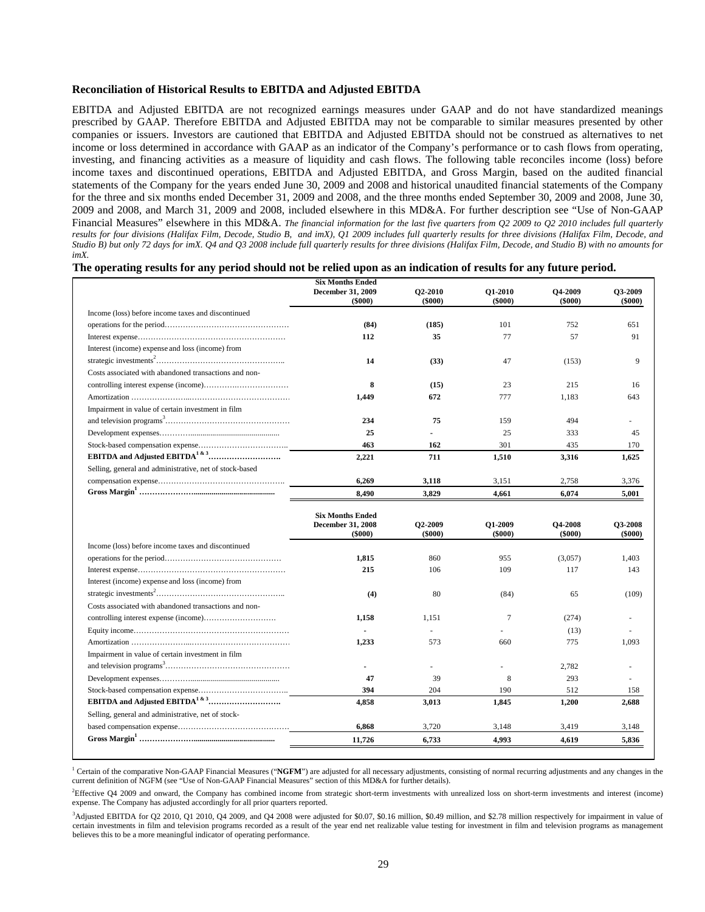#### **Reconciliation of Historical Results to EBITDA and Adjusted EBITDA**

EBITDA and Adjusted EBITDA are not recognized earnings measures under GAAP and do not have standardized meanings prescribed by GAAP. Therefore EBITDA and Adjusted EBITDA may not be comparable to similar measures presented by other companies or issuers. Investors are cautioned that EBITDA and Adjusted EBITDA should not be construed as alternatives to net income or loss determined in accordance with GAAP as an indicator of the Company's performance or to cash flows from operating, investing, and financing activities as a measure of liquidity and cash flows. The following table reconciles income (loss) before income taxes and discontinued operations, EBITDA and Adjusted EBITDA, and Gross Margin, based on the audited financial statements of the Company for the years ended June 30, 2009 and 2008 and historical unaudited financial statements of the Company for the three and six months ended December 31, 2009 and 2008, and the three months ended September 30, 2009 and 2008, June 30, 2009 and 2008, and March 31, 2009 and 2008, included elsewhere in this MD&A. For further description see "Use of Non-GAAP Financial Measures" elsewhere in this MD&A. *The financial information for the last five quarters from Q2 2009 to Q2 2010 includes full quarterly*  results for four divisions (Halifax Film, Decode, Studio B, and imX), Q1 2009 includes full quarterly results for three divisions (Halifax Film, Decode, and *Studio B) but only 72 days for imX. Q4 and Q3 2008 include full quarterly results for three divisions (Halifax Film, Decode, and Studio B) with no amounts for imX.* 

| The operating results for any period should not be relied upon as an indication of results for any future period. |  |  |  |
|-------------------------------------------------------------------------------------------------------------------|--|--|--|
|                                                                                                                   |  |  |  |

|                                                         | <b>Six Months Ended</b>                                       |                                 |                                 |                                 |                             |
|---------------------------------------------------------|---------------------------------------------------------------|---------------------------------|---------------------------------|---------------------------------|-----------------------------|
|                                                         | December 31, 2009<br>$($ \$000 $)$                            | <b>O2-2010</b><br>$($ \$000 $)$ | <b>O1-2010</b><br>$($ \$000 $)$ | <b>Q4-2009</b><br>$($ \$000 $)$ | O3-2009<br>$($ \$000 $)$    |
| Income (loss) before income taxes and discontinued      |                                                               |                                 |                                 |                                 |                             |
|                                                         | (84)                                                          | (185)                           | 101                             | 752                             | 651                         |
|                                                         | 112                                                           | 35                              | 77                              | 57                              | 91                          |
| Interest (income) expense and loss (income) from        |                                                               |                                 |                                 |                                 |                             |
|                                                         | 14                                                            | (33)                            | 47                              | (153)                           | 9                           |
| Costs associated with abandoned transactions and non-   |                                                               |                                 |                                 |                                 |                             |
|                                                         | 8                                                             | (15)                            | 23                              | 215                             | 16                          |
|                                                         | 1,449                                                         | 672                             | 777                             | 1,183                           | 643                         |
| Impairment in value of certain investment in film       |                                                               |                                 |                                 |                                 |                             |
|                                                         | 234                                                           | 75                              | 159                             | 494                             |                             |
|                                                         | 25                                                            |                                 | 25                              | 333                             | 45                          |
|                                                         | 463                                                           | 162                             | 301                             | 435                             | 170                         |
|                                                         | 2,221                                                         | 711                             | 1,510                           | 3,316                           | 1.625                       |
| Selling, general and administrative, net of stock-based |                                                               |                                 |                                 |                                 |                             |
|                                                         | 6,269                                                         | 3,118                           | 3,151                           | 2,758                           | 3,376                       |
|                                                         | 8,490                                                         | 3,829                           | 4.661                           | 6,074                           | 5,001                       |
|                                                         | <b>Six Months Ended</b><br>December 31, 2008<br>$($ \$000 $)$ | Q2-2009<br>$($ \$000 $)$        | O1-2009<br>( \$000)             | <b>O4-2008</b><br>( \$000)      | <b>O3-2008</b><br>$(\$000)$ |
| Income (loss) before income taxes and discontinued      |                                                               |                                 |                                 |                                 |                             |
|                                                         | 1,815                                                         | 860                             | 955                             | (3,057)                         | 1,403                       |
|                                                         | 215                                                           | 106                             | 109                             | 117                             | 143                         |
| Interest (income) expense and loss (income) from        |                                                               |                                 |                                 |                                 |                             |
|                                                         | (4)                                                           | 80                              | (84)                            | 65                              | (109)                       |
| Costs associated with abandoned transactions and non-   |                                                               |                                 |                                 |                                 |                             |
|                                                         | 1,158                                                         | 1.151                           | 7                               | (274)                           |                             |
|                                                         |                                                               |                                 |                                 | (13)                            |                             |
|                                                         | 1,233                                                         | 573                             | 660                             | 775                             | 1,093                       |
| Impairment in value of certain investment in film       |                                                               |                                 |                                 |                                 |                             |
|                                                         |                                                               |                                 |                                 | 2.782                           |                             |
|                                                         | 47                                                            | 39                              | 8                               | 293                             | ä,                          |
|                                                         | 394                                                           | 204                             | 190                             | 512                             | 158                         |
|                                                         | 4.858                                                         | 3,013                           | 1,845                           | 1,200                           | 2,688                       |
| Selling, general and administrative, net of stock-      |                                                               |                                 |                                 |                                 |                             |
|                                                         | 6,868                                                         | 3,720                           | 3,148                           | 3,419                           | 3,148                       |
|                                                         | 11,726                                                        | 6,733                           | 4,993                           | 4,619                           | 5,836                       |

<sup>1</sup> Certain of the comparative Non-GAAP Financial Measures ("NGFM") are adjusted for all necessary adjustments, consisting of normal recurring adjustments and any changes in the current definition of NGFM (see "Use of Non-GAAP Financial Measures" section of this MD&A for further details).

2 Effective Q4 2009 and onward, the Company has combined income from strategic short-term investments with unrealized loss on short-term investments and interest (income) expense. The Company has adjusted accordingly for all prior quarters reported.

<sup>3</sup>Adjusted EBITDA for Q2 2010, Q1 2010, Q4 2009, and Q4 2008 were adjusted for \$0.07, \$0.16 million, \$0.49 million, and \$2.78 million respectively for impairment in value of certain investments in film and television programs recorded as a result of the year end net realizable value testing for investment in film and television programs as management believes this to be a more meaningful indicator of operating performance.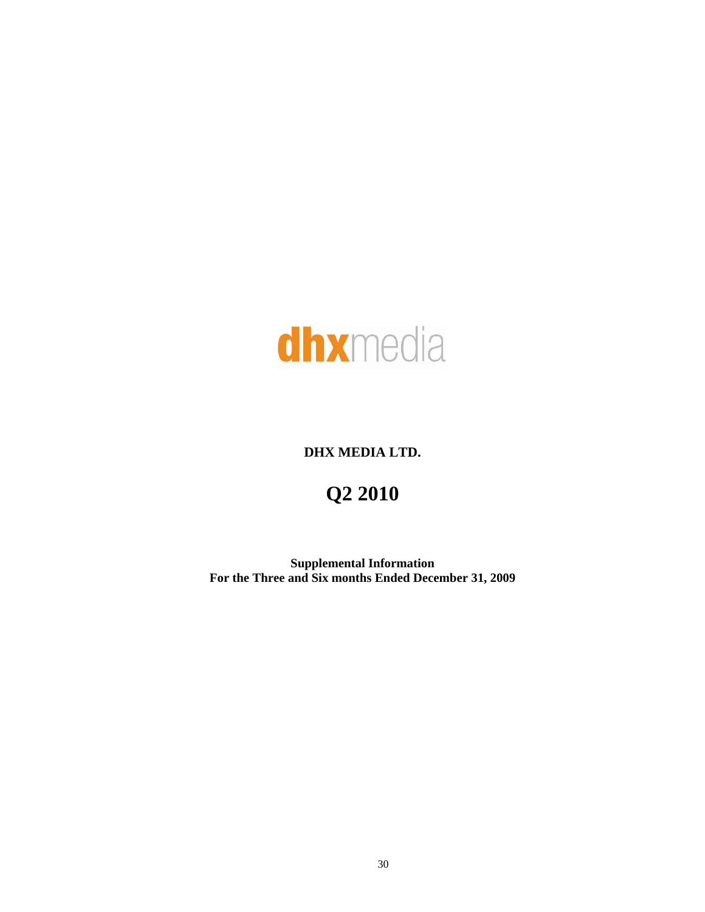

# **DHX MEDIA LTD.**

# **Q2 2010**

**Supplemental Information For the Three and Six months Ended December 31, 2009**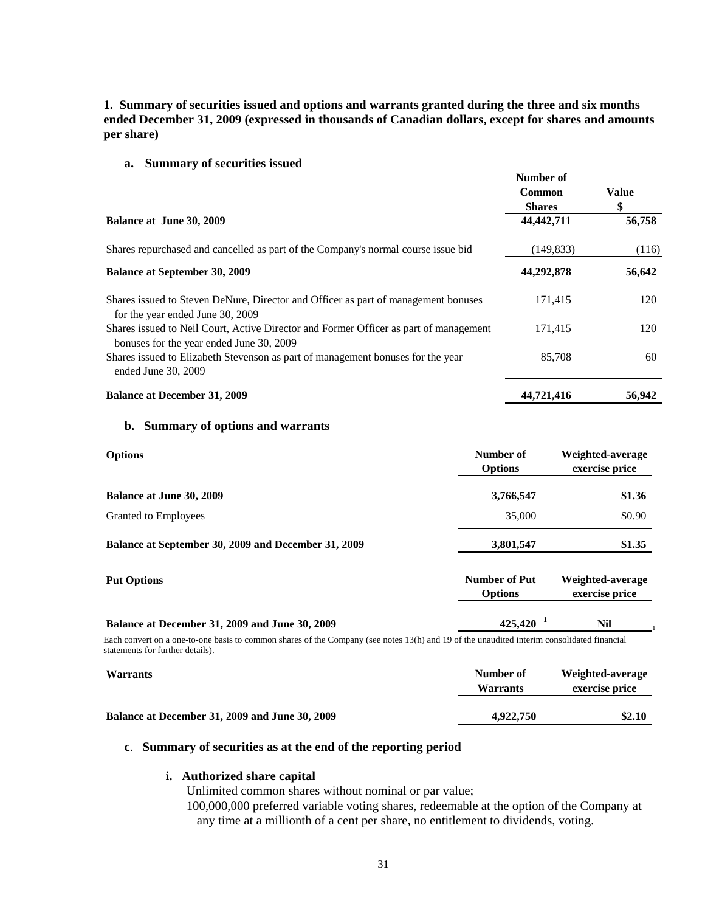# **1. Summary of securities issued and options and warrants granted during the three and six months ended December 31, 2009 (expressed in thousands of Canadian dollars, except for shares and amounts per share)**

**Number of** 

**a. Summary of securities issued** 

|                                                                                                                                   | танирет от                     |                   |
|-----------------------------------------------------------------------------------------------------------------------------------|--------------------------------|-------------------|
|                                                                                                                                   | <b>Common</b><br><b>Shares</b> | <b>Value</b><br>S |
| Balance at June 30, 2009                                                                                                          | 44,442,711                     | 56,758            |
| Shares repurchased and cancelled as part of the Company's normal course issue bid                                                 | (149, 833)                     | (116)             |
| <b>Balance at September 30, 2009</b>                                                                                              | 44,292,878                     | 56,642            |
| Shares issued to Steven DeNure, Director and Officer as part of management bonuses<br>for the year ended June 30, 2009            | 171,415                        | 120               |
| Shares issued to Neil Court, Active Director and Former Officer as part of management<br>bonuses for the year ended June 30, 2009 | 171,415                        | 120               |
| Shares issued to Elizabeth Stevenson as part of management bonuses for the year<br>ended June 30, 2009                            | 85,708                         | 60                |
| <b>Balance at December 31, 2009</b>                                                                                               | 44,721,416                     | 56,942            |

## **b. Summary of options and warrants**

| <b>Options</b>                                      | Number of<br><b>Options</b>            | Weighted-average<br>exercise price |
|-----------------------------------------------------|----------------------------------------|------------------------------------|
| <b>Balance at June 30, 2009</b>                     | 3,766,547                              | \$1.36                             |
| Granted to Employees                                | 35,000                                 | \$0.90                             |
| Balance at September 30, 2009 and December 31, 2009 | 3,801,547                              | \$1.35                             |
| <b>Put Options</b>                                  | <b>Number of Put</b><br><b>Options</b> | Weighted-average<br>exercise price |
| Balance at December 31, 2009 and June 30, 2009      | $425,420$ <sup>1</sup>                 | <b>Nil</b>                         |

Each convert on a one-to-one basis to common shares of the Company (see notes 13(h) and 19 of the unaudited interim consolidated financial statements for further details).

| <b>Warrants</b>                                | Number of<br><b>Warrants</b> | Weighted-average<br>exercise price |
|------------------------------------------------|------------------------------|------------------------------------|
| Balance at December 31, 2009 and June 30, 2009 | 4,922,750                    | \$2.10                             |

## **c**. **Summary of securities as at the end of the reporting period**

## **i. Authorized share capital**

Unlimited common shares without nominal or par value;

100,000,000 preferred variable voting shares, redeemable at the option of the Company at any time at a millionth of a cent per share, no entitlement to dividends, voting.